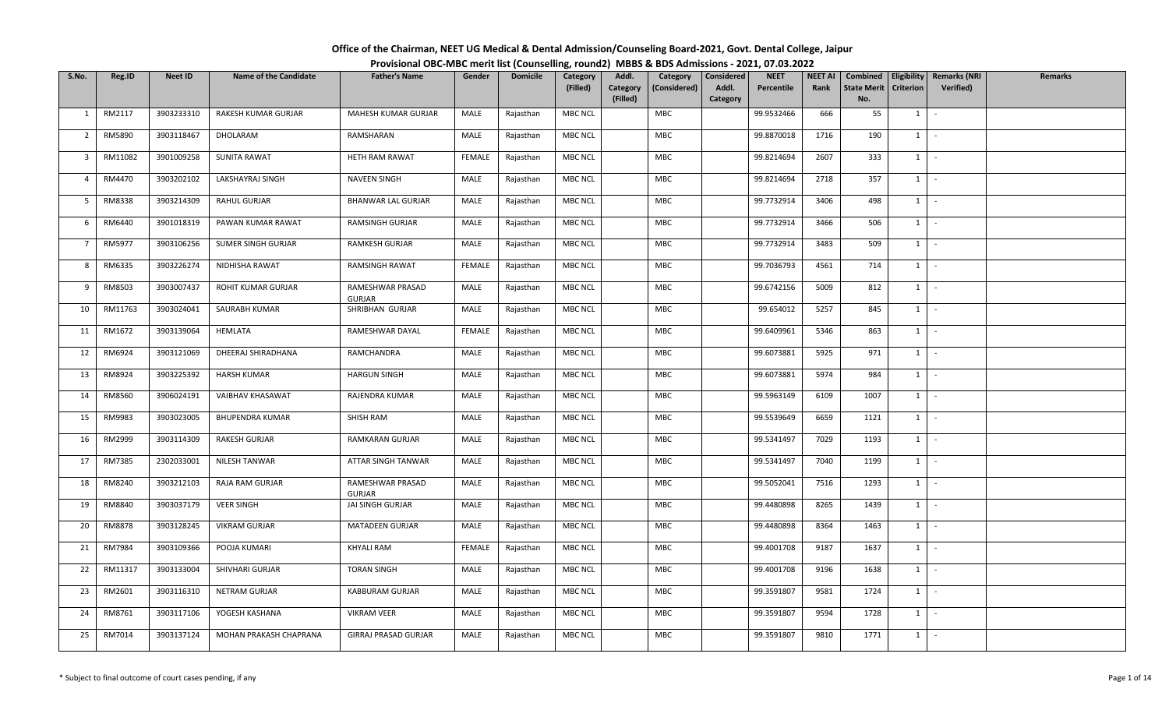| Office of the Chairman, NEET UG Medical & Dental Admission/Counseling Board-2021, Govt. Dental College, Jaipur |  |
|----------------------------------------------------------------------------------------------------------------|--|
| Provisional OBC-MBC merit list (Counselling, round2) MBBS & BDS Admissions - 2021, 07.03.2022                  |  |

| S.No.          | Reg.ID  | Neet ID    | <b>Name of the Candidate</b> | <b>Father's Name</b>        | Gender        | <b>Domicile</b> | Category<br>(Filled) | Addl.<br>Category | Category<br>(Considered) | Considered<br>Addl. | <b>NEET</b><br>Percentile | <b>NEET AI</b><br>Rank | Combined<br><b>State Merit</b> | Eligibility<br><b>Criterion</b> | <b>Remarks (NRI</b><br><b>Verified</b> ) | <b>Remarks</b> |
|----------------|---------|------------|------------------------------|-----------------------------|---------------|-----------------|----------------------|-------------------|--------------------------|---------------------|---------------------------|------------------------|--------------------------------|---------------------------------|------------------------------------------|----------------|
|                |         |            |                              |                             |               |                 |                      | (Filled)          |                          | Category            |                           |                        | No.                            |                                 |                                          |                |
| 1              | RM2117  | 3903233310 | RAKESH KUMAR GURJAR          | MAHESH KUMAR GURJAR         | MALE          | Rajasthan       | MBC NCL              |                   | MBC                      |                     | 99.9532466                | 666                    | 55                             | $1 \mid -$                      |                                          |                |
| $\overline{2}$ | RM5890  | 3903118467 | DHOLARAM                     | RAMSHARAN                   | MALE          | Rajasthan       | <b>MBC NCL</b>       |                   | MBC                      |                     | 99.8870018                | 1716                   | 190                            | $1 \cdot$                       |                                          |                |
| 3              | RM11082 | 3901009258 | <b>SUNITA RAWAT</b>          | HETH RAM RAWAT              | <b>FEMALE</b> | Rajasthan       | <b>MBC NCL</b>       |                   | MBC                      |                     | 99.8214694                | 2607                   | 333                            | $1 \cdot$                       |                                          |                |
| $\overline{4}$ | RM4470  | 3903202102 | LAKSHAYRAJ SINGH             | NAVEEN SINGH                | MALE          | Rajasthan       | <b>MBC NCL</b>       |                   | MBC                      |                     | 99.8214694                | 2718                   | 357                            | $1$ $-$                         |                                          |                |
| 5              | RM8338  | 3903214309 | RAHUL GURJAR                 | <b>BHANWAR LAL GURJAR</b>   | MALE          | Rajasthan       | <b>MBC NCL</b>       |                   | <b>MBC</b>               |                     | 99.7732914                | 3406                   | 498                            | $1$ $-$                         |                                          |                |
| 6              | RM6440  | 3901018319 | PAWAN KUMAR RAWAT            | <b>RAMSINGH GURJAR</b>      | MALE          | Rajasthan       | MBC NCL              |                   | MBC                      |                     | 99.7732914                | 3466                   | 506                            | $1 \mid -$                      |                                          |                |
| $\overline{7}$ | RM5977  | 3903106256 | SUMER SINGH GURJAR           | <b>RAMKESH GURJAR</b>       | MALE          | Rajasthan       | <b>MBC NCL</b>       |                   | MBC                      |                     | 99.7732914                | 3483                   | 509                            | $1 \cdot$                       |                                          |                |
| 8              | RM6335  | 3903226274 | NIDHISHA RAWAT               | <b>RAMSINGH RAWAT</b>       | <b>FEMALE</b> | Rajasthan       | <b>MBC NCL</b>       |                   | MBC                      |                     | 99.7036793                | 4561                   | 714                            | $1$ $-$                         |                                          |                |
| 9              | RM8503  | 3903007437 | ROHIT KUMAR GURJAR           | RAMESHWAR PRASAD<br>GURJAR  | MALE          | Rajasthan       | <b>MBC NCL</b>       |                   | MBC                      |                     | 99.6742156                | 5009                   | 812                            | $1 \cdot$                       |                                          |                |
| 10             | RM11763 | 3903024041 | SAURABH KUMAR                | SHRIBHAN GURJAR             | MALE          | Rajasthan       | <b>MBC NCL</b>       |                   | MBC                      |                     | 99.654012                 | 5257                   | 845                            | $1 \cdot$                       |                                          |                |
| 11             | RM1672  | 3903139064 | HEMLATA                      | RAMESHWAR DAYAL             | <b>FEMALE</b> | Rajasthan       | <b>MBC NCL</b>       |                   | <b>MBC</b>               |                     | 99.6409961                | 5346                   | 863                            | $1$ $\vert$ $\vert$             |                                          |                |
| 12             | RM6924  | 3903121069 | DHEERAJ SHIRADHANA           | RAMCHANDRA                  | MALE          | Rajasthan       | <b>MBC NCL</b>       |                   | MBC                      |                     | 99.6073881                | 5925                   | 971                            | $1 \cdot$                       |                                          |                |
| 13             | RM8924  | 3903225392 | <b>HARSH KUMAR</b>           | <b>HARGUN SINGH</b>         | MALE          | Rajasthan       | <b>MBC NCL</b>       |                   | MBC                      |                     | 99.6073881                | 5974                   | 984                            | 1                               | $\sim$                                   |                |
| 14             | RM8560  | 3906024191 | VAIBHAV KHASAWAT             | RAJENDRA KUMAR              | MALE          | Rajasthan       | <b>MBC NCL</b>       |                   | MBC                      |                     | 99.5963149                | 6109                   | 1007                           | $1 \cdot$                       |                                          |                |
| 15             | RM9983  | 3903023005 | <b>BHUPENDRA KUMAR</b>       | SHISH RAM                   | MALE          | Rajasthan       | MBC NCL              |                   | MBC                      |                     | 99.5539649                | 6659                   | 1121                           | $1$ $-$                         |                                          |                |
| 16             | RM2999  | 3903114309 | RAKESH GURJAR                | RAMKARAN GURJAR             | MALE          | Rajasthan       | <b>MBC NCL</b>       |                   | MBC                      |                     | 99.5341497                | 7029                   | 1193                           | $1 \cdot$                       |                                          |                |
| 17             | RM7385  | 2302033001 | NILESH TANWAR                | ATTAR SINGH TANWAR          | MALE          | Rajasthan       | <b>MBC NCL</b>       |                   | MBC                      |                     | 99.5341497                | 7040                   | 1199                           | $1 \cdot$                       |                                          |                |
| 18             | RM8240  | 3903212103 | RAJA RAM GURJAR              | RAMESHWAR PRASAD<br>GURJAR  | MALE          | Rajasthan       | <b>MBC NCL</b>       |                   | <b>MBC</b>               |                     | 99.5052041                | 7516                   | 1293                           | $1$ $-$                         |                                          |                |
| 19             | RM8840  | 3903037179 | <b>VEER SINGH</b>            | JAI SINGH GURJAR            | MALE          | Rajasthan       | <b>MBC NCL</b>       |                   | MBC                      |                     | 99.4480898                | 8265                   | 1439                           | $1$ $\cdot$                     |                                          |                |
| 20             | RM8878  | 3903128245 | <b>VIKRAM GURJAR</b>         | MATADEEN GURJAR             | MALE          | Rajasthan       | <b>MBC NCL</b>       |                   | MBC                      |                     | 99.4480898                | 8364                   | 1463                           | 1                               | $\sim$                                   |                |
| 21             | RM7984  | 3903109366 | POOJA KUMARI                 | KHYALI RAM                  | <b>FEMALE</b> | Rajasthan       | <b>MBC NCL</b>       |                   | MBC                      |                     | 99.4001708                | 9187                   | 1637                           | $1$ $-$                         |                                          |                |
| 22             | RM11317 | 3903133004 | SHIVHARI GURJAR              | <b>TORAN SINGH</b>          | MALE          | Rajasthan       | <b>MBC NCL</b>       |                   | MBC                      |                     | 99.4001708                | 9196                   | 1638                           | $1$ $-$                         |                                          |                |
| 23             | RM2601  | 3903116310 | NETRAM GURJAR                | KABBURAM GURJAR             | MALE          | Rajasthan       | <b>MBC NCL</b>       |                   | MBC                      |                     | 99.3591807                | 9581                   | 1724                           | $1 \cdot$                       |                                          |                |
| 24             | RM8761  | 3903117106 | YOGESH KASHANA               | <b>VIKRAM VEER</b>          | MALE          | Rajasthan       | <b>MBC NCL</b>       |                   | MBC                      |                     | 99.3591807                | 9594                   | 1728                           | $1 \vert -$                     |                                          |                |
| 25             | RM7014  | 3903137124 | MOHAN PRAKASH CHAPRANA       | <b>GIRRAJ PRASAD GURJAR</b> | MALE          | Rajasthan       | <b>MBC NCL</b>       |                   | MBC                      |                     | 99.3591807                | 9810                   | 1771                           | $1 \cdot$                       |                                          |                |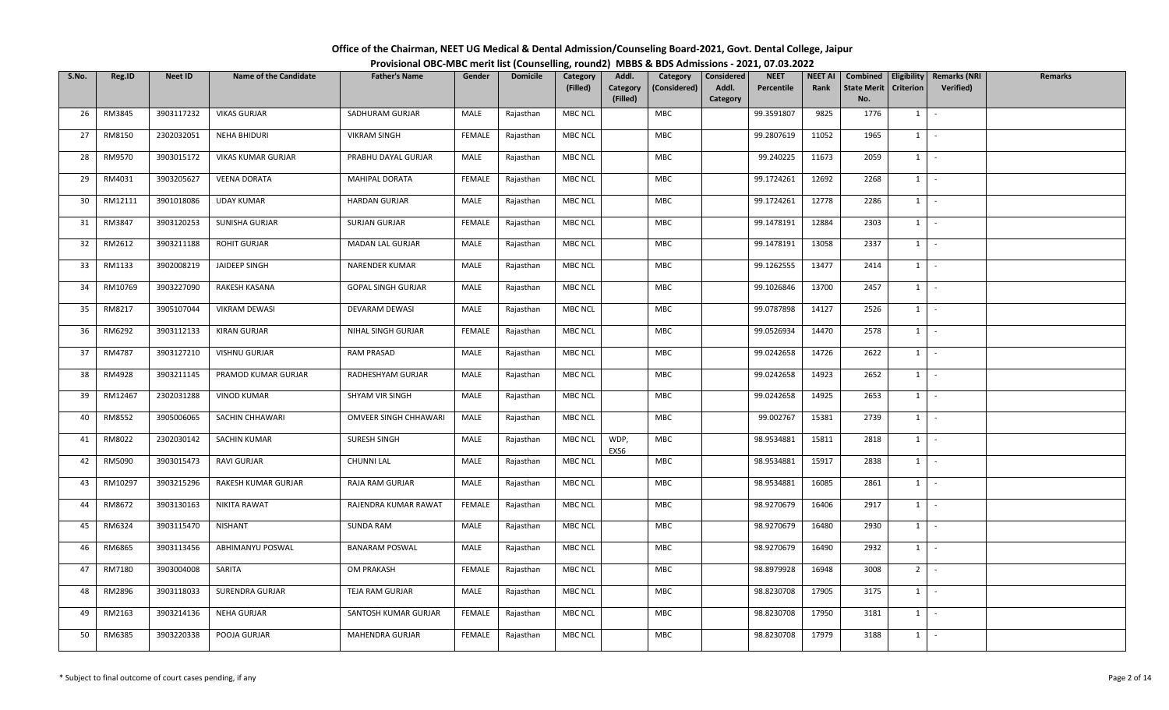| Office of the Chairman, NEET UG Medical & Dental Admission/Counseling Board-2021, Govt. Dental College, Jaipur |  |
|----------------------------------------------------------------------------------------------------------------|--|
| Provisional OBC-MBC merit list (Counselling, round2) MBBS & BDS Admissions - 2021, 07.03.2022                  |  |

| S.No. | Reg.ID  | Neet ID    | <b>Name of the Candidate</b> | <b>Father's Name</b>      | Gender        | <b>Domicile</b> | Category<br>(Filled) | Addl.<br>Category<br>(Filled) | Category<br>(Considered) | Considered<br>Addl.<br>Category | <b>NEET</b><br>Percentile | <b>NEET AI</b><br>Rank | Combined<br><b>State Merit</b><br>No. | Criterion      | Eligibility   Remarks (NRI<br>Verified) | Remarks |
|-------|---------|------------|------------------------------|---------------------------|---------------|-----------------|----------------------|-------------------------------|--------------------------|---------------------------------|---------------------------|------------------------|---------------------------------------|----------------|-----------------------------------------|---------|
| 26    | RM3845  | 3903117232 | <b>VIKAS GURJAR</b>          | SADHURAM GURJAR           | MALE          | Rajasthan       | MBC NCL              |                               | <b>MBC</b>               |                                 | 99.3591807                | 9825                   | 1776                                  | $1 \mid$       | $\sim$                                  |         |
| 27    | RM8150  | 2302032051 | <b>NEHA BHIDURI</b>          | <b>VIKRAM SINGH</b>       | <b>FEMALE</b> | Rajasthan       | <b>MBC NCL</b>       |                               | MBC                      |                                 | 99.2807619                | 11052                  | 1965                                  | $1 \quad$      | $\sim$                                  |         |
| 28    | RM9570  | 3903015172 | <b>VIKAS KUMAR GURJAR</b>    | PRABHU DAYAL GURJAR       | MALE          | Rajasthan       | MBC NCL              |                               | MBC                      |                                 | 99.240225                 | 11673                  | 2059                                  | $1 \vert$      | $\sim$                                  |         |
| 29    | RM4031  | 3903205627 | <b>VEENA DORATA</b>          | <b>MAHIPAL DORATA</b>     | FEMALE        | Rajasthan       | <b>MBC NCL</b>       |                               | MBC                      |                                 | 99.1724261                | 12692                  | 2268                                  | 1              | $\sim$                                  |         |
| 30    | RM12111 | 3901018086 | <b>UDAY KUMAR</b>            | <b>HARDAN GURJAR</b>      | MALE          | Rajasthan       | MBC NCL              |                               | MBC                      |                                 | 99.1724261                | 12778                  | 2286                                  | 1              | $\sim$                                  |         |
| 31    | RM3847  | 3903120253 | SUNISHA GURJAR               | SURJAN GURJAR             | FEMALE        | Rajasthan       | <b>MBC NCL</b>       |                               | MBC                      |                                 | 99.1478191                | 12884                  | 2303                                  | $1 \vert$      | $\sim$                                  |         |
| 32    | RM2612  | 3903211188 | <b>ROHIT GURJAR</b>          | MADAN LAL GURJAR          | MALE          | Rajasthan       | <b>MBC NCL</b>       |                               | MBC                      |                                 | 99.1478191                | 13058                  | 2337                                  | 1              | $\sim$                                  |         |
| 33    | RM1133  | 3902008219 | JAIDEEP SINGH                | NARENDER KUMAR            | MALE          | Rajasthan       | MBC NCL              |                               | <b>MBC</b>               |                                 | 99.1262555                | 13477                  | 2414                                  | 1              | $\sim$                                  |         |
| 34    | RM10769 | 3903227090 | RAKESH KASANA                | <b>GOPAL SINGH GURJAR</b> | MALE          | Rajasthan       | MBC NCL              |                               | MBC                      |                                 | 99.1026846                | 13700                  | 2457                                  | $1 \quad$      | $\sim$                                  |         |
| 35    | RM8217  | 3905107044 | <b>VIKRAM DEWASI</b>         | DEVARAM DEWASI            | MALE          | Rajasthan       | MBC NCL              |                               | MBC                      |                                 | 99.0787898                | 14127                  | 2526                                  | 1              | $\sim$                                  |         |
| 36    | RM6292  | 3903112133 | KIRAN GURJAR                 | NIHAL SINGH GURJAR        | <b>FEMALE</b> | Rajasthan       | MBC NCL              |                               | MBC                      |                                 | 99.0526934                | 14470                  | 2578                                  | $1 \quad$      | $\sim$                                  |         |
| 37    | RM4787  | 3903127210 | <b>VISHNU GURJAR</b>         | <b>RAM PRASAD</b>         | MALE          | Rajasthan       | <b>MBC NCL</b>       |                               | <b>MBC</b>               |                                 | 99.0242658                | 14726                  | 2622                                  | 1              | $\sim$                                  |         |
| 38    | RM4928  | 3903211145 | PRAMOD KUMAR GURJAR          | RADHESHYAM GURJAR         | MALE          | Rajasthan       | MBC NCL              |                               | MBC                      |                                 | 99.0242658                | 14923                  | 2652                                  | $1$ $\cdot$    |                                         |         |
| 39    | RM12467 | 2302031288 | <b>VINOD KUMAR</b>           | SHYAM VIR SINGH           | MALE          | Rajasthan       | MBC NCL              |                               | <b>MBC</b>               |                                 | 99.0242658                | 14925                  | 2653                                  | $1 \quad$      | $\sim$                                  |         |
| 40    | RM8552  | 3905006065 | SACHIN CHHAWARI              | OMVEER SINGH CHHAWARI     | MALE          | Rajasthan       | MBC NCL              |                               | <b>MBC</b>               |                                 | 99.002767                 | 15381                  | 2739                                  | $1 \quad$      | $\sim$                                  |         |
| 41    | RM8022  | 2302030142 | <b>SACHIN KUMAR</b>          | SURESH SINGH              | MALE          | Rajasthan       | MBC NCL              | WDP,<br>EXS6                  | MBC                      |                                 | 98.9534881                | 15811                  | 2818                                  | $1 \mid$       | $\sim$                                  |         |
| 42    | RM5090  | 3903015473 | <b>RAVI GURJAR</b>           | <b>CHUNNI LAL</b>         | MALE          | Rajasthan       | MBC NCL              |                               | MBC                      |                                 | 98.9534881                | 15917                  | 2838                                  | $1 \quad$      | $\sim$                                  |         |
| 43    | RM10297 | 3903215296 | RAKESH KUMAR GURJAR          | RAJA RAM GURJAR           | MALE          | Rajasthan       | <b>MBC NCL</b>       |                               | MBC                      |                                 | 98.9534881                | 16085                  | 2861                                  | $1 \quad$      | $\sim$                                  |         |
| 44    | RM8672  | 3903130163 | NIKITA RAWAT                 | RAJENDRA KUMAR RAWAT      | FEMALE        | Rajasthan       | <b>MBC NCL</b>       |                               | MBC                      |                                 | 98.9270679                | 16406                  | 2917                                  | $1 \quad$      | $\sim$                                  |         |
| 45    | RM6324  | 3903115470 | <b>NISHANT</b>               | <b>SUNDA RAM</b>          | MALE          | Rajasthan       | MBC NCL              |                               | <b>MBC</b>               |                                 | 98.9270679                | 16480                  | 2930                                  | 1              | $\sim$                                  |         |
| 46    | RM6865  | 3903113456 | ABHIMANYU POSWAL             | <b>BANARAM POSWAL</b>     | MALE          | Rajasthan       | MBC NCL              |                               | MBC                      |                                 | 98.9270679                | 16490                  | 2932                                  | 1              | $\sim$                                  |         |
| 47    | RM7180  | 3903004008 | SARITA                       | <b>OM PRAKASH</b>         | FEMALE        | Rajasthan       | <b>MBC NCL</b>       |                               | <b>MBC</b>               |                                 | 98.8979928                | 16948                  | 3008                                  | 2 <sup>1</sup> | $\sim$                                  |         |
| 48    | RM2896  | 3903118033 | SURENDRA GURJAR              | TEJA RAM GURJAR           | MALE          | Rajasthan       | MBC NCL              |                               | MBC                      |                                 | 98.8230708                | 17905                  | 3175                                  | $1 \quad$      | $\sim$                                  |         |
| 49    | RM2163  | 3903214136 | NEHA GURJAR                  | SANTOSH KUMAR GURJAR      | FEMALE        | Rajasthan       | <b>MBC NCL</b>       |                               | MBC                      |                                 | 98.8230708                | 17950                  | 3181                                  | $1 \quad$      | $\sim$                                  |         |
| 50    | RM6385  | 3903220338 | POOJA GURJAR                 | MAHENDRA GURJAR           | <b>FEMALE</b> | Rajasthan       | <b>MBC NCL</b>       |                               | <b>MBC</b>               |                                 | 98.8230708                | 17979                  | 3188                                  | $1 \quad$      | $\sim$                                  |         |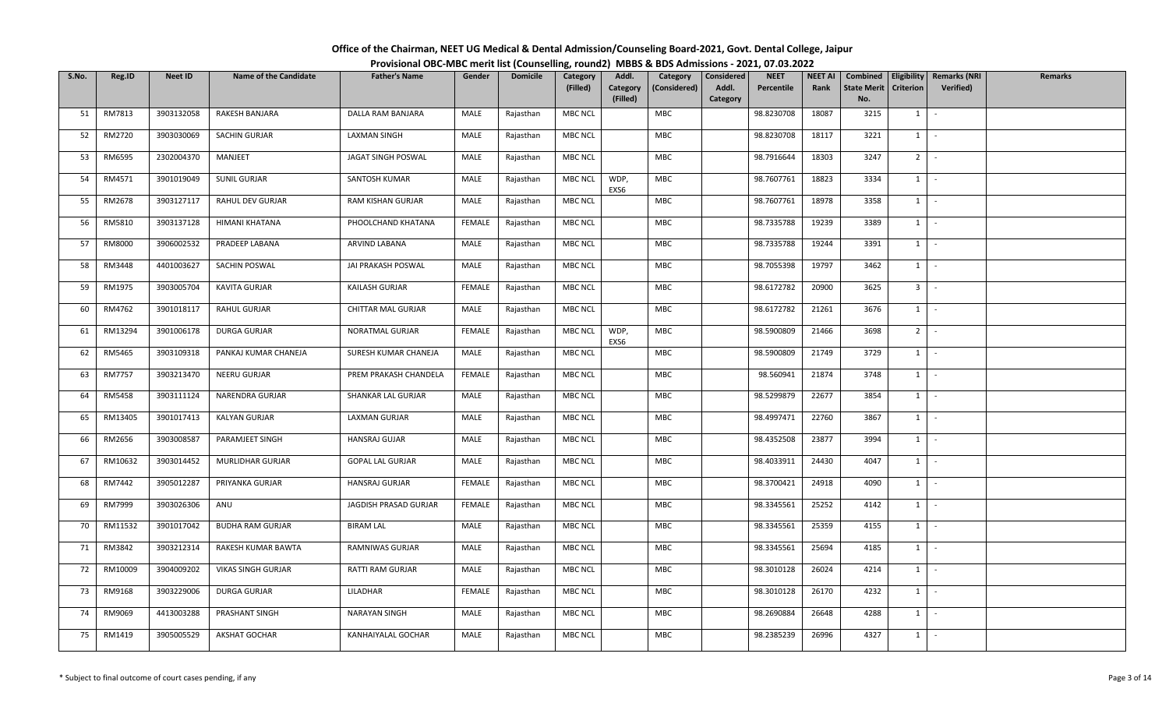| Office of the Chairman, NEET UG Medical & Dental Admission/Counseling Board-2021, Govt. Dental College, Jaipur |  |
|----------------------------------------------------------------------------------------------------------------|--|
| Provisional OBC-MBC merit list (Counselling, round2) MBBS & BDS Admissions - 2021, 07.03.2022                  |  |

| S.No. | Reg.ID        | <b>Neet ID</b> | <b>Name of the Candidate</b> | <b>Father's Name</b>    | Gender        | <b>Domicile</b> | Category       | Addl.                | Category     | Considered        | <b>NEET</b> | <b>NEET AI</b> | Combined                  | Eligibility    | <b>Remarks (NRI</b> | <b>Remarks</b> |
|-------|---------------|----------------|------------------------------|-------------------------|---------------|-----------------|----------------|----------------------|--------------|-------------------|-------------|----------------|---------------------------|----------------|---------------------|----------------|
|       |               |                |                              |                         |               |                 | (Filled)       | Category<br>(Filled) | (Considered) | Addl.<br>Category | Percentile  | Rank           | <b>State Merit</b><br>No. | Criterion      | Verified)           |                |
| 51    | RM7813        | 3903132058     | RAKESH BANJARA               | DALLA RAM BANJARA       | MALE          | Rajasthan       | MBC NCL        |                      | <b>MBC</b>   |                   | 98.8230708  | 18087          | 3215                      | $1 \quad$      | $\sim$              |                |
|       |               |                |                              |                         |               |                 |                |                      |              |                   |             |                |                           |                |                     |                |
| 52    | RM2720        | 3903030069     | <b>SACHIN GURJAR</b>         | <b>LAXMAN SINGH</b>     | MALE          | Rajasthan       | <b>MBC NCL</b> |                      | MBC          |                   | 98.8230708  | 18117          | 3221                      | $1 \quad$      | $\sim$              |                |
| 53    | RM6595        | 2302004370     | MANJEET                      | JAGAT SINGH POSWAL      | MALE          | Rajasthan       | <b>MBC NCL</b> |                      | MBC          |                   | 98.7916644  | 18303          | 3247                      | 2 <sup>1</sup> | $\sim$              |                |
| 54    | RM4571        | 3901019049     | SUNIL GURJAR                 | SANTOSH KUMAR           | MALE          | Rajasthan       | MBC NCL        | WDP,<br>EXS6         | MBC          |                   | 98.7607761  | 18823          | 3334                      | $1 \mid$       | $\sim$              |                |
| 55    | RM2678        | 3903127117     | RAHUL DEV GURJAR             | RAM KISHAN GURJAR       | MALE          | Rajasthan       | <b>MBC NCL</b> |                      | MBC          |                   | 98.7607761  | 18978          | 3358                      | 1              | $\sim$              |                |
| 56    | RM5810        | 3903137128     | HIMANI KHATANA               | PHOOLCHAND KHATANA      | FEMALE        | Rajasthan       | MBC NCL        |                      | MBC          |                   | 98.7335788  | 19239          | 3389                      |                | $1 \mid -$          |                |
| 57    | RM8000        | 3906002532     | PRADEEP LABANA               | ARVIND LABANA           | MALE          | Rajasthan       | MBC NCL        |                      | MBC          |                   | 98.7335788  | 19244          | 3391                      | 1              | $\sim$              |                |
| 58    | RM3448        | 4401003627     | SACHIN POSWAL                | JAI PRAKASH POSWAL      | MALE          | Rajasthan       | MBC NCL        |                      | MBC          |                   | 98.7055398  | 19797          | 3462                      | 1              | $\sim$              |                |
| 59    | RM1975        | 3903005704     | KAVITA GURJAR                | KAILASH GURJAR          | <b>FEMALE</b> | Rajasthan       | MBC NCL        |                      | MBC          |                   | 98.6172782  | 20900          | 3625                      | 3 <sup>1</sup> | $\sim$              |                |
| 60    | RM4762        | 3901018117     | RAHUL GURJAR                 | CHITTAR MAL GURJAR      | MALE          | Rajasthan       | MBC NCL        |                      | MBC          |                   | 98.6172782  | 21261          | 3676                      | $1 \quad$      | $\sim$              |                |
| 61    | RM13294       | 3901006178     | DURGA GURJAR                 | NORATMAL GURJAR         | <b>FEMALE</b> | Rajasthan       | MBC NCL        | WDP,<br>EXS6         | <b>MBC</b>   |                   | 98.5900809  | 21466          | 3698                      | $2$ -          |                     |                |
| 62    | RM5465        | 3903109318     | PANKAJ KUMAR CHANEJA         | SURESH KUMAR CHANEJA    | MALE          | Rajasthan       | MBC NCL        |                      | MBC          |                   | 98.5900809  | 21749          | 3729                      | $1\phantom{0}$ | $\sim$              |                |
| 63    | <b>RM7757</b> | 3903213470     | NEERU GURJAR                 | PREM PRAKASH CHANDELA   | <b>FEMALE</b> | Rajasthan       | MBC NCL        |                      | MBC          |                   | 98.560941   | 21874          | 3748                      | 1              | $\sim$              |                |
| 64    | RM5458        | 3903111124     | NARENDRA GURJAR              | SHANKAR LAL GURJAR      | MALE          | Rajasthan       | MBC NCL        |                      | MBC          |                   | 98.5299879  | 22677          | 3854                      | $1 \quad$      | $\sim$              |                |
| 65    | RM13405       | 3901017413     | KALYAN GURJAR                | LAXMAN GURJAR           | MALE          | Rajasthan       | MBC NCL        |                      | <b>MBC</b>   |                   | 98.4997471  | 22760          | 3867                      | 1              | $\sim$              |                |
| 66    | RM2656        | 3903008587     | PARAMJEET SINGH              | HANSRAJ GUJAR           | MALE          | Rajasthan       | MBC NCL        |                      | MBC          |                   | 98.4352508  | 23877          | 3994                      | 1              | $\sim$              |                |
| 67    | RM10632       | 3903014452     | MURLIDHAR GURJAR             | <b>GOPAL LAL GURJAR</b> | MALE          | Rajasthan       | MBC NCL        |                      | MBC          |                   | 98.4033911  | 24430          | 4047                      | 1              | $\sim$              |                |
| 68    | RM7442        | 3905012287     | PRIYANKA GURJAR              | HANSRAJ GURJAR          | <b>FEMALE</b> | Rajasthan       | <b>MBC NCL</b> |                      | <b>MBC</b>   |                   | 98.3700421  | 24918          | 4090                      | $1 \mid$       | $\sim$              |                |
| 69    | RM7999        | 3903026306     | ANU                          | JAGDISH PRASAD GURJAR   | FEMALE        | Rajasthan       | MBC NCL        |                      | <b>MBC</b>   |                   | 98.3345561  | 25252          | 4142                      | $1 \vert$      | $\sim$              |                |
| 70    | RM11532       | 3901017042     | <b>BUDHA RAM GURJAR</b>      | <b>BIRAM LAL</b>        | MALE          | Rajasthan       | MBC NCL        |                      | <b>MBC</b>   |                   | 98.3345561  | 25359          | 4155                      | $1 \quad$      | $\sim$              |                |
| 71    | RM3842        | 3903212314     | RAKESH KUMAR BAWTA           | RAMNIWAS GURJAR         | MALE          | Rajasthan       | MBC NCL        |                      | <b>MBC</b>   |                   | 98.3345561  | 25694          | 4185                      | 1              | $\sim$              |                |
| 72    | RM10009       | 3904009202     | <b>VIKAS SINGH GURJAR</b>    | RATTI RAM GURJAR        | MALE          | Rajasthan       | MBC NCL        |                      | MBC          |                   | 98.3010128  | 26024          | 4214                      | $1 \vert -$    |                     |                |
| 73    | RM9168        | 3903229006     | DURGA GURJAR                 | LILADHAR                | <b>FEMALE</b> | Rajasthan       | <b>MBC NCL</b> |                      | MBC          |                   | 98.3010128  | 26170          | 4232                      | 1              | $\sim$              |                |
| 74    | RM9069        | 4413003288     | PRASHANT SINGH               | NARAYAN SINGH           | MALE          | Rajasthan       | <b>MBC NCL</b> |                      | MBC          |                   | 98.2690884  | 26648          | 4288                      | $1 \quad$      | $\sim$              |                |
| 75    | RM1419        | 3905005529     | <b>AKSHAT GOCHAR</b>         | KANHAIYALAL GOCHAR      | MALE          | Rajasthan       | MBC NCL        |                      | <b>MBC</b>   |                   | 98.2385239  | 26996          | 4327                      | $1 \quad$      | $\sim$              |                |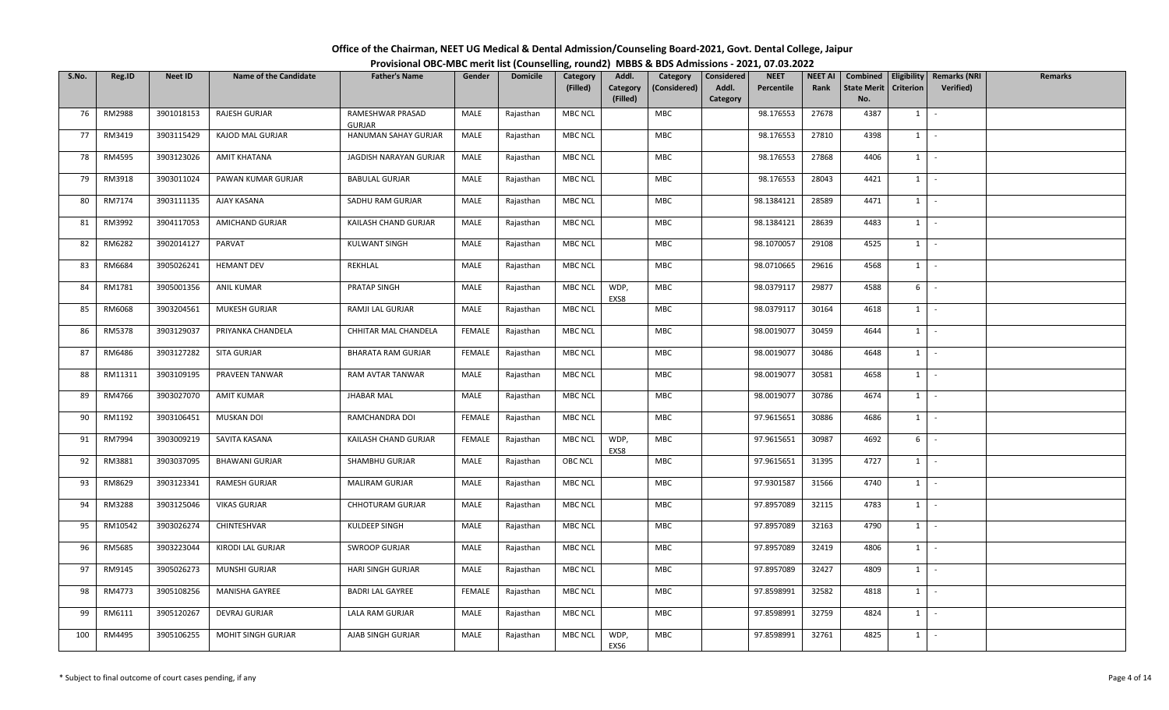| Office of the Chairman, NEET UG Medical & Dental Admission/Counseling Board-2021, Govt. Dental College, Jaipur |  |  |
|----------------------------------------------------------------------------------------------------------------|--|--|
| Provisional OBC-MBC merit list (Counselling, round2) MBBS & BDS Admissions - 2021, 07.03.2022                  |  |  |

| S.No. | Reg.ID        | Neet ID    | <b>Name of the Candidate</b> | <b>Father's Name</b>       | Gender        | <b>Domicile</b> | Category<br>(Filled) | Addl.<br>Category<br>(Filled) | Category<br>(Considered) | Considered<br>Addl.<br>Category | <b>NEET</b><br>Percentile | <b>NEET AI</b><br>Rank | Combined<br><b>State Merit</b><br>No. | <b>Criterion</b> | Eligibility   Remarks (NRI<br>Verified) | Remarks |
|-------|---------------|------------|------------------------------|----------------------------|---------------|-----------------|----------------------|-------------------------------|--------------------------|---------------------------------|---------------------------|------------------------|---------------------------------------|------------------|-----------------------------------------|---------|
| 76    | <b>RM2988</b> | 3901018153 | RAJESH GURJAR                | RAMESHWAR PRASAD<br>GURJAR | MALE          | Rajasthan       | MBC NCL              |                               | MBC                      |                                 | 98.176553                 | 27678                  | 4387                                  | $1 \mid$         | $\sim$                                  |         |
| 77    | RM3419        | 3903115429 | KAJOD MAL GURJAR             | HANUMAN SAHAY GURJAR       | MALE          | Rajasthan       | <b>MBC NCL</b>       |                               | MBC                      |                                 | 98.176553                 | 27810                  | 4398                                  | $1 \quad$        | $\sim$                                  |         |
| 78    | RM4595        | 3903123026 | <b>AMIT KHATANA</b>          | JAGDISH NARAYAN GURJAR     | MALE          | Rajasthan       | MBC NCL              |                               | MBC                      |                                 | 98.176553                 | 27868                  | 4406                                  | $1 \mid$         | $\sim$                                  |         |
| 79    | RM3918        | 3903011024 | PAWAN KUMAR GURJAR           | <b>BABULAL GURJAR</b>      | MALE          | Rajasthan       | MBC NCL              |                               | MBC                      |                                 | 98.176553                 | 28043                  | 4421                                  | 1                | $\sim$                                  |         |
| 80    | RM7174        | 3903111135 | AJAY KASANA                  | SADHU RAM GURJAR           | MALE          | Rajasthan       | MBC NCL              |                               | MBC                      |                                 | 98.1384121                | 28589                  | 4471                                  | $1 \quad$        | $\sim$                                  |         |
| 81    | RM3992        | 3904117053 | AMICHAND GURJAR              | KAILASH CHAND GURJAR       | MALE          | Rajasthan       | MBC NCL              |                               | MBC                      |                                 | 98.1384121                | 28639                  | 4483                                  | $1 \vert$        | $\sim$                                  |         |
| 82    | RM6282        | 3902014127 | PARVAT                       | KULWANT SINGH              | MALE          | Rajasthan       | <b>MBC NCL</b>       |                               | MBC                      |                                 | 98.1070057                | 29108                  | 4525                                  | 1                | $\sim$                                  |         |
| 83    | RM6684        | 3905026241 | <b>HEMANT DEV</b>            | REKHLAL                    | MALE          | Rajasthan       | MBC NCL              |                               | <b>MBC</b>               |                                 | 98.0710665                | 29616                  | 4568                                  | 1                | $\sim$                                  |         |
| 84    | RM1781        | 3905001356 | <b>ANIL KUMAR</b>            | PRATAP SINGH               | MALE          | Rajasthan       | MBC NCL              | WDP,<br>EXS8                  | MBC                      |                                 | 98.0379117                | 29877                  | 4588                                  | 6                | $\sim$                                  |         |
| 85    | RM6068        | 3903204561 | MUKESH GURJAR                | RAMJI LAL GURJAR           | MALE          | Rajasthan       | MBC NCL              |                               | MBC                      |                                 | 98.0379117                | 30164                  | 4618                                  | 1                | $\sim$                                  |         |
| 86    | RM5378        | 3903129037 | PRIYANKA CHANDELA            | CHHITAR MAL CHANDELA       | <b>FEMALE</b> | Rajasthan       | MBC NCL              |                               | MBC                      |                                 | 98.0019077                | 30459                  | 4644                                  | $1 \quad$        | $\sim$                                  |         |
| 87    | RM6486        | 3903127282 | SITA GURJAR                  | <b>BHARATA RAM GURJAR</b>  | FEMALE        | Rajasthan       | <b>MBC NCL</b>       |                               | <b>MBC</b>               |                                 | 98.0019077                | 30486                  | 4648                                  | 1                | $\sim$                                  |         |
| 88    | RM11311       | 3903109195 | PRAVEEN TANWAR               | RAM AVTAR TANWAR           | MALE          | Rajasthan       | MBC NCL              |                               | MBC                      |                                 | 98.0019077                | 30581                  | 4658                                  | $1$ $\cdot$      |                                         |         |
| 89    | RM4766        | 3903027070 | <b>AMIT KUMAR</b>            | <b>JHABAR MAL</b>          | MALE          | Rajasthan       | MBC NCL              |                               | <b>MBC</b>               |                                 | 98.0019077                | 30786                  | 4674                                  | $1 \quad$        | $\sim$                                  |         |
| 90    | RM1192        | 3903106451 | <b>MUSKAN DOI</b>            | RAMCHANDRA DOI             | FEMALE        | Rajasthan       | MBC NCL              |                               | <b>MBC</b>               |                                 | 97.9615651                | 30886                  | 4686                                  | $1 \mid$         | $\sim$                                  |         |
| 91    | RM7994        | 3903009219 | SAVITA KASANA                | KAILASH CHAND GURJAR       | FEMALE        | Rajasthan       | MBC NCL              | WDP,<br>EXS8                  | MBC                      |                                 | 97.9615651                | 30987                  | 4692                                  | 6                | $\sim$                                  |         |
| 92    | RM3881        | 3903037095 | <b>BHAWANI GURJAR</b>        | SHAMBHU GURJAR             | MALE          | Rajasthan       | OBC NCL              |                               | MBC                      |                                 | 97.9615651                | 31395                  | 4727                                  | $1 \quad$        | $\sim$                                  |         |
| 93    | RM8629        | 3903123341 | RAMESH GURJAR                | MALIRAM GURJAR             | MALE          | Rajasthan       | <b>MBC NCL</b>       |                               | MBC                      |                                 | 97.9301587                | 31566                  | 4740                                  | $1 \quad$        | $\sim$                                  |         |
| 94    | RM3288        | 3903125046 | <b>VIKAS GURJAR</b>          | <b>CHHOTURAM GURJAR</b>    | MALE          | Rajasthan       | MBC NCL              |                               | MBC                      |                                 | 97.8957089                | 32115                  | 4783                                  | $1 \quad$        | $\sim$                                  |         |
| 95    | RM10542       | 3903026274 | CHINTESHVAR                  | KULDEEP SINGH              | MALE          | Rajasthan       | MBC NCL              |                               | <b>MBC</b>               |                                 | 97.8957089                | 32163                  | 4790                                  | 1                | $\sim$                                  |         |
| 96    | RM5685        | 3903223044 | KIRODI LAL GURJAR            | <b>SWROOP GURJAR</b>       | MALE          | Rajasthan       | MBC NCL              |                               | MBC                      |                                 | 97.8957089                | 32419                  | 4806                                  | 1                | $\sim$                                  |         |
| 97    | RM9145        | 3905026273 | MUNSHI GURJAR                | HARI SINGH GURJAR          | MALE          | Rajasthan       | MBC NCL              |                               | <b>MBC</b>               |                                 | 97.8957089                | 32427                  | 4809                                  | $1 \quad$        | $\sim$                                  |         |
| 98    | RM4773        | 3905108256 | MANISHA GAYREE               | <b>BADRI LAL GAYREE</b>    | FEMALE        | Rajasthan       | MBC NCL              |                               | MBC                      |                                 | 97.8598991                | 32582                  | 4818                                  | $1 \quad$        | $\sim$                                  |         |
| 99    | RM6111        | 3905120267 | DEVRAJ GURJAR                | LALA RAM GURJAR            | MALE          | Rajasthan       | <b>MBC NCL</b>       |                               | MBC                      |                                 | 97.8598991                | 32759                  | 4824                                  | $1 \quad$        | $\sim$                                  |         |
| 100   | RM4495        | 3905106255 | <b>MOHIT SINGH GURJAR</b>    | AJAB SINGH GURJAR          | MALE          | Rajasthan       | MBC NCL              | WDP,<br>EXS6                  | <b>MBC</b>               |                                 | 97.8598991                | 32761                  | 4825                                  | $1 \quad$        | $\sim$                                  |         |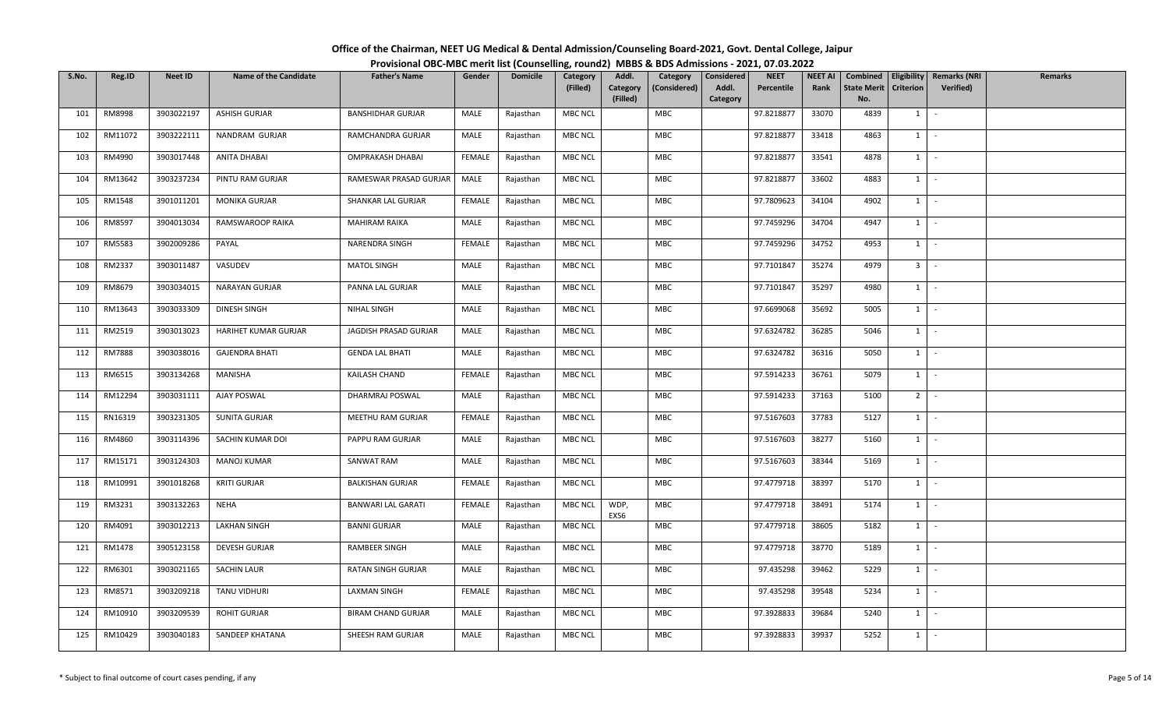| Office of the Chairman, NEET UG Medical & Dental Admission/Counseling Board-2021, Govt. Dental College, Jaipur |  |
|----------------------------------------------------------------------------------------------------------------|--|
| Provisional OBC-MBC merit list (Counselling, round2) MBBS & BDS Admissions - 2021, 07.03.2022                  |  |

| S.No. | Reg.ID        | Neet ID    | <b>Name of the Candidate</b> | <b>Father's Name</b>      | Gender        | <b>Domicile</b> | Category<br>(Filled) | Addl.<br>Category<br>(Filled) | Category<br>(Considered) | Considered<br>Addl.<br>Category | <b>NEET</b><br>Percentile | <b>NEET AI</b><br>Rank | Combined<br><b>State Merit</b><br>No. | Criterion      | Eligibility   Remarks (NRI<br>Verified) | Remarks |
|-------|---------------|------------|------------------------------|---------------------------|---------------|-----------------|----------------------|-------------------------------|--------------------------|---------------------------------|---------------------------|------------------------|---------------------------------------|----------------|-----------------------------------------|---------|
| 101   | RM8998        | 3903022197 | ASHISH GURJAR                | <b>BANSHIDHAR GURJAR</b>  | MALE          | Rajasthan       | MBC NCL              |                               | <b>MBC</b>               |                                 | 97.8218877                | 33070                  | 4839                                  | $1 \mid$       | $\sim$                                  |         |
| 102   | RM11072       | 3903222111 | NANDRAM GURJAR               | RAMCHANDRA GURJAR         | MALE          | Rajasthan       | <b>MBC NCL</b>       |                               | MBC                      |                                 | 97.8218877                | 33418                  | 4863                                  | $1 \quad$      | $\sim$                                  |         |
| 103   | RM4990        | 3903017448 | ANITA DHABAI                 | <b>OMPRAKASH DHABAI</b>   | <b>FEMALE</b> | Rajasthan       | MBC NCL              |                               | MBC                      |                                 | 97.8218877                | 33541                  | 4878                                  | $1 \vert$      | $\sim$                                  |         |
| 104   | RM13642       | 3903237234 | PINTU RAM GURJAR             | RAMESWAR PRASAD GURJAR    | MALE          | Rajasthan       | MBC NCL              |                               | MBC                      |                                 | 97.8218877                | 33602                  | 4883                                  | 1              | $\sim$                                  |         |
| 105   | RM1548        | 3901011201 | MONIKA GURJAR                | SHANKAR LAL GURJAR        | FEMALE        | Rajasthan       | MBC NCL              |                               | MBC                      |                                 | 97.7809623                | 34104                  | 4902                                  | $1 \quad$      | $\sim$                                  |         |
| 106   | RM8597        | 3904013034 | RAMSWAROOP RAIKA             | <b>MAHIRAM RAIKA</b>      | MALE          | Rajasthan       | MBC NCL              |                               | MBC                      |                                 | 97.7459296                | 34704                  | 4947                                  | $1 \vert$      | $\sim$                                  |         |
| 107   | RM5583        | 3902009286 | PAYAL                        | NARENDRA SINGH            | <b>FEMALE</b> | Rajasthan       | <b>MBC NCL</b>       |                               | MBC                      |                                 | 97.7459296                | 34752                  | 4953                                  | 1              | $\sim$                                  |         |
| 108   | RM2337        | 3903011487 | VASUDEV                      | <b>MATOL SINGH</b>        | MALE          | Rajasthan       | MBC NCL              |                               | <b>MBC</b>               |                                 | 97.7101847                | 35274                  | 4979                                  | 3 <sup>1</sup> | $\sim$                                  |         |
| 109   | RM8679        | 3903034015 | NARAYAN GURJAR               | PANNA LAL GURJAR          | MALE          | Rajasthan       | MBC NCL              |                               | MBC                      |                                 | 97.7101847                | 35297                  | 4980                                  | $1 \vert$      | $\sim$                                  |         |
| 110   | RM13643       | 3903033309 | DINESH SINGH                 | NIHAL SINGH               | MALE          | Rajasthan       | MBC NCL              |                               | MBC                      |                                 | 97.6699068                | 35692                  | 5005                                  | 1              | $\sim$                                  |         |
| 111   | RM2519        | 3903013023 | HARIHET KUMAR GURJAR         | JAGDISH PRASAD GURJAR     | MALE          | Rajasthan       | MBC NCL              |                               | MBC                      |                                 | 97.6324782                | 36285                  | 5046                                  | $1 \quad$      | $\sim$                                  |         |
| 112   | <b>RM7888</b> | 3903038016 | <b>GAJENDRA BHATI</b>        | <b>GENDA LAL BHATI</b>    | MALE          | Rajasthan       | <b>MBC NCL</b>       |                               | <b>MBC</b>               |                                 | 97.6324782                | 36316                  | 5050                                  | 1              | $\sim$                                  |         |
| 113   | RM6515        | 3903134268 | MANISHA                      | KAILASH CHAND             | FEMALE        | Rajasthan       | MBC NCL              |                               | <b>MBC</b>               |                                 | 97.5914233                | 36761                  | 5079                                  | $1$ $\cdot$    |                                         |         |
| 114   | RM12294       | 3903031111 | AJAY POSWAL                  | DHARMRAJ POSWAL           | MALE          | Rajasthan       | <b>MBC NCL</b>       |                               | <b>MBC</b>               |                                 | 97.5914233                | 37163                  | 5100                                  | 2 <sup>1</sup> | $\sim$                                  |         |
| 115   | RN16319       | 3903231305 | SUNITA GURJAR                | MEETHU RAM GURJAR         | <b>FEMALE</b> | Rajasthan       | MBC NCL              |                               | <b>MBC</b>               |                                 | 97.5167603                | 37783                  | 5127                                  | $1 \quad$      | $\sim$                                  |         |
| 116   | RM4860        | 3903114396 | SACHIN KUMAR DOI             | PAPPU RAM GURJAR          | MALE          | Rajasthan       | MBC NCL              |                               | MBC                      |                                 | 97.5167603                | 38277                  | 5160                                  | $1 \mid$       | $\sim$                                  |         |
| 117   | RM15171       | 3903124303 | <b>MANOJ KUMAR</b>           | SANWAT RAM                | MALE          | Rajasthan       | <b>MBC NCL</b>       |                               | MBC                      |                                 | 97.5167603                | 38344                  | 5169                                  | $1 \quad$      | $\sim$                                  |         |
| 118   | RM10991       | 3901018268 | <b>KRITI GURJAR</b>          | <b>BALKISHAN GURJAR</b>   | FEMALE        | Rajasthan       | MBC NCL              |                               | <b>MBC</b>               |                                 | 97.4779718                | 38397                  | 5170                                  | $1 \quad$      | $\sim$                                  |         |
| 119   | RM3231        | 3903132263 | NEHA                         | BANWARI LAL GARATI        | FEMALE        | Rajasthan       | MBC NCL              | WDP,<br>EXS6                  | MBC                      |                                 | 97.4779718                | 38491                  | 5174                                  | $1 \quad$      | $\sim$                                  |         |
| 120   | RM4091        | 3903012213 | <b>LAKHAN SINGH</b>          | <b>BANNI GURJAR</b>       | MALE          | Rajasthan       | MBC NCL              |                               | MBC                      |                                 | 97.4779718                | 38605                  | 5182                                  | 1              | $\sim$                                  |         |
| 121   | RM1478        | 3905123158 | <b>DEVESH GURJAR</b>         | <b>RAMBEER SINGH</b>      | MALE          | Rajasthan       | <b>MBC NCL</b>       |                               | MBC                      |                                 | 97.4779718                | 38770                  | 5189                                  | 1              | $\sim$                                  |         |
| 122   | RM6301        | 3903021165 | <b>SACHIN LAUR</b>           | RATAN SINGH GURJAR        | MALE          | Rajasthan       | MBC NCL              |                               | <b>MBC</b>               |                                 | 97.435298                 | 39462                  | 5229                                  | $1 \quad$      | $\sim$                                  |         |
| 123   | RM8571        | 3903209218 | TANU VIDHURI                 | <b>LAXMAN SINGH</b>       | FEMALE        | Rajasthan       | MBC NCL              |                               | MBC                      |                                 | 97.435298                 | 39548                  | 5234                                  | $1 \quad$      | $\sim$                                  |         |
| 124   | RM10910       | 3903209539 | <b>ROHIT GURJAR</b>          | <b>BIRAM CHAND GURJAR</b> | MALE          | Rajasthan       | <b>MBC NCL</b>       |                               | MBC                      |                                 | 97.3928833                | 39684                  | 5240                                  | $1 \quad$      | $\sim$                                  |         |
| 125   | RM10429       | 3903040183 | SANDEEP KHATANA              | SHEESH RAM GURJAR         | MALE          | Rajasthan       | MBC NCL              |                               | MBC                      |                                 | 97.3928833                | 39937                  | 5252                                  | $1 \quad$      | $\sim$                                  |         |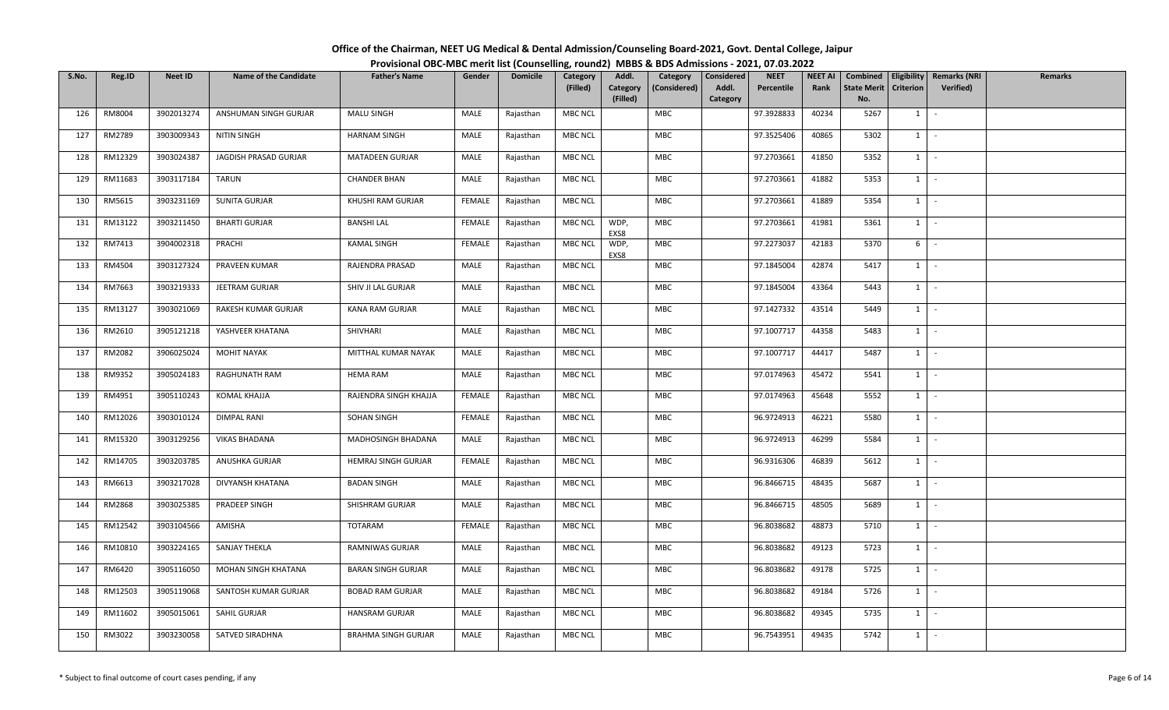| Office of the Chairman, NEET UG Medical & Dental Admission/Counseling Board-2021, Govt. Dental College, Jaipur |  |
|----------------------------------------------------------------------------------------------------------------|--|
| Provisional OBC-MBC merit list (Counselling, round2) MBBS & BDS Admissions - 2021, 07.03.2022                  |  |

| S.No. | Reg.ID  | <b>Neet ID</b> | <b>Name of the Candidate</b> | <b>Father's Name</b>       | Gender        | <b>Domicile</b> | Category       | Addl.                | Category     | <b>Considered</b> | <b>NEET</b> | NEET AI | Combined                  | Eligibility | <b>Remarks (NRI</b> | <b>Remarks</b> |
|-------|---------|----------------|------------------------------|----------------------------|---------------|-----------------|----------------|----------------------|--------------|-------------------|-------------|---------|---------------------------|-------------|---------------------|----------------|
|       |         |                |                              |                            |               |                 | (Filled)       | Category<br>(Filled) | (Considered) | Addl.<br>Category | Percentile  | Rank    | <b>State Merit</b><br>No. | Criterion   | <b>Verified)</b>    |                |
| 126   | RM8004  | 3902013274     | ANSHUMAN SINGH GURJAR        | <b>MALU SINGH</b>          | MALE          | Rajasthan       | <b>MBC NCL</b> |                      | MBC          |                   | 97.3928833  | 40234   | 5267                      | 1           | $\sim$              |                |
| 127   | RM2789  | 3903009343     | NITIN SINGH                  | <b>HARNAM SINGH</b>        | MALE          | Rajasthan       | <b>MBC NCL</b> |                      | MBC          |                   | 97.3525406  | 40865   | 5302                      | $1 \quad$   | $\sim$              |                |
| 128   | RM12329 | 3903024387     | JAGDISH PRASAD GURJAR        | MATADEEN GURJAR            | MALE          | Rajasthan       | <b>MBC NCL</b> |                      | MBC          |                   | 97.2703661  | 41850   | 5352                      | $1 \mid$    | $\sim$              |                |
| 129   | RM11683 | 3903117184     | <b>TARUN</b>                 | <b>CHANDER BHAN</b>        | MALE          | Rajasthan       | <b>MBC NCL</b> |                      | MBC          |                   | 97.2703661  | 41882   | 5353                      | $1 \vert -$ |                     |                |
| 130   | RM5615  | 3903231169     | SUNITA GURJAR                | KHUSHI RAM GURJAR          | <b>FEMALE</b> | Rajasthan       | <b>MBC NCL</b> |                      | MBC          |                   | 97.2703661  | 41889   | 5354                      | 1           | $\sim$              |                |
| 131   | RM13122 | 3903211450     | <b>BHARTI GURJAR</b>         | <b>BANSHI LAL</b>          | FEMALE        | Rajasthan       | MBC NCL        | WDP,<br>EXS8         | MBC          |                   | 97.2703661  | 41981   | 5361                      | $1 \mid$    | $\sim$              |                |
| 132   | RM7413  | 3904002318     | PRACHI                       | <b>KAMAL SINGH</b>         | <b>FEMALE</b> | Rajasthan       | <b>MBC NCL</b> | WDP,<br>EXS8         | MBC          |                   | 97.2273037  | 42183   | 5370                      | 6           | $\sim$              |                |
| 133   | RM4504  | 3903127324     | PRAVEEN KUMAR                | RAJENDRA PRASAD            | MALE          | Rajasthan       | <b>MBC NCL</b> |                      | MBC          |                   | 97.1845004  | 42874   | 5417                      | $1 \mid$    | $\sim$              |                |
| 134   | RM7663  | 3903219333     | JEETRAM GURJAR               | SHIV JI LAL GURJAR         | MALE          | Rajasthan       | <b>MBC NCL</b> |                      | MBC          |                   | 97.1845004  | 43364   | 5443                      | $1 \quad$   | $\sim$              |                |
| 135   | RM13127 | 3903021069     | RAKESH KUMAR GURJAR          | KANA RAM GURJAR            | MALE          | Rajasthan       | <b>MBC NCL</b> |                      | MBC          |                   | 97.1427332  | 43514   | 5449                      | $1 \quad$   | $\sim$ $-$          |                |
| 136   | RM2610  | 3905121218     | YASHVEER KHATANA             | SHIVHARI                   | MALE          | Rajasthan       | <b>MBC NCL</b> |                      | MBC          |                   | 97.1007717  | 44358   | 5483                      | $1$ $-$     |                     |                |
| 137   | RM2082  | 3906025024     | <b>MOHIT NAYAK</b>           | MITTHAL KUMAR NAYAK        | MALE          | Rajasthan       | <b>MBC NCL</b> |                      | MBC          |                   | 97.1007717  | 44417   | 5487                      | $1 \mid$    | $\sim$              |                |
| 138   | RM9352  | 3905024183     | RAGHUNATH RAM                | <b>HEMA RAM</b>            | MALE          | Rajasthan       | <b>MBC NCL</b> |                      | MBC          |                   | 97.0174963  | 45472   | 5541                      | 1           | $\sim$              |                |
| 139   | RM4951  | 3905110243     | KOMAL KHAJJA                 | RAJENDRA SINGH KHAJJA      | <b>FEMALE</b> | Rajasthan       | <b>MBC NCL</b> |                      | MBC          |                   | 97.0174963  | 45648   | 5552                      | $1 \mid$    | $\sim$              |                |
| 140   | RM12026 | 3903010124     | DIMPAL RANI                  | SOHAN SINGH                | <b>FEMALE</b> | Rajasthan       | <b>MBC NCL</b> |                      | <b>MBC</b>   |                   | 96.9724913  | 46221   | 5580                      | 1           | $\sim$              |                |
| 141   | RM15320 | 3903129256     | <b>VIKAS BHADANA</b>         | MADHOSINGH BHADANA         | MALE          | Rajasthan       | <b>MBC NCL</b> |                      | <b>MBC</b>   |                   | 96.9724913  | 46299   | 5584                      | $1 \quad$   | $\sim$              |                |
| 142   | RM14705 | 3903203785     | ANUSHKA GURJAR               | HEMRAJ SINGH GURJAR        | <b>FEMALE</b> | Rajasthan       | <b>MBC NCL</b> |                      | MBC          |                   | 96.9316306  | 46839   | 5612                      | $1 \mid$    | $\sim$ $-$          |                |
| 143   | RM6613  | 3903217028     | DIVYANSH KHATANA             | <b>BADAN SINGH</b>         | MALE          | Rajasthan       | <b>MBC NCL</b> |                      | <b>MBC</b>   |                   | 96.8466715  | 48435   | 5687                      | $1$ $-$     |                     |                |
| 144   | RM2868  | 3903025385     | PRADEEP SINGH                | SHISHRAM GURJAR            | MALE          | Rajasthan       | <b>MBC NCL</b> |                      | MBC          |                   | 96.8466715  | 48505   | 5689                      |             | $1 \mid -$          |                |
| 145   | RM12542 | 3903104566     | AMISHA                       | TOTARAM                    | <b>FEMALE</b> | Rajasthan       | <b>MBC NCL</b> |                      | MBC          |                   | 96.8038682  | 48873   | 5710                      | 1           | $\sim$              |                |
| 146   | RM10810 | 3903224165     | SANJAY THEKLA                | RAMNIWAS GURJAR            | MALE          | Rajasthan       | <b>MBC NCL</b> |                      | <b>MBC</b>   |                   | 96.8038682  | 49123   | 5723                      | $1 \mid$    | $\sim$              |                |
| 147   | RM6420  | 3905116050     | MOHAN SINGH KHATANA          | <b>BARAN SINGH GURJAR</b>  | MALE          | Rajasthan       | <b>MBC NCL</b> |                      | MBC          |                   | 96.8038682  | 49178   | 5725                      | $1 \cdot$   |                     |                |
| 148   | RM12503 | 3905119068     | SANTOSH KUMAR GURJAR         | <b>BOBAD RAM GURJAR</b>    | MALE          | Rajasthan       | <b>MBC NCL</b> |                      | MBC          |                   | 96.8038682  | 49184   | 5726                      | 1           | $\sim$              |                |
| 149   | RM11602 | 3905015061     | SAHIL GURJAR                 | HANSRAM GURJAR             | MALE          | Rajasthan       | <b>MBC NCL</b> |                      | MBC          |                   | 96.8038682  | 49345   | 5735                      | $1 \quad$   | $\sim$ $-$          |                |
| 150   | RM3022  | 3903230058     | SATVED SIRADHNA              | <b>BRAHMA SINGH GURJAR</b> | MALE          | Rajasthan       | <b>MBC NCL</b> |                      | MBC          |                   | 96.7543951  | 49435   | 5742                      | $1 \quad$   | $\sim$              |                |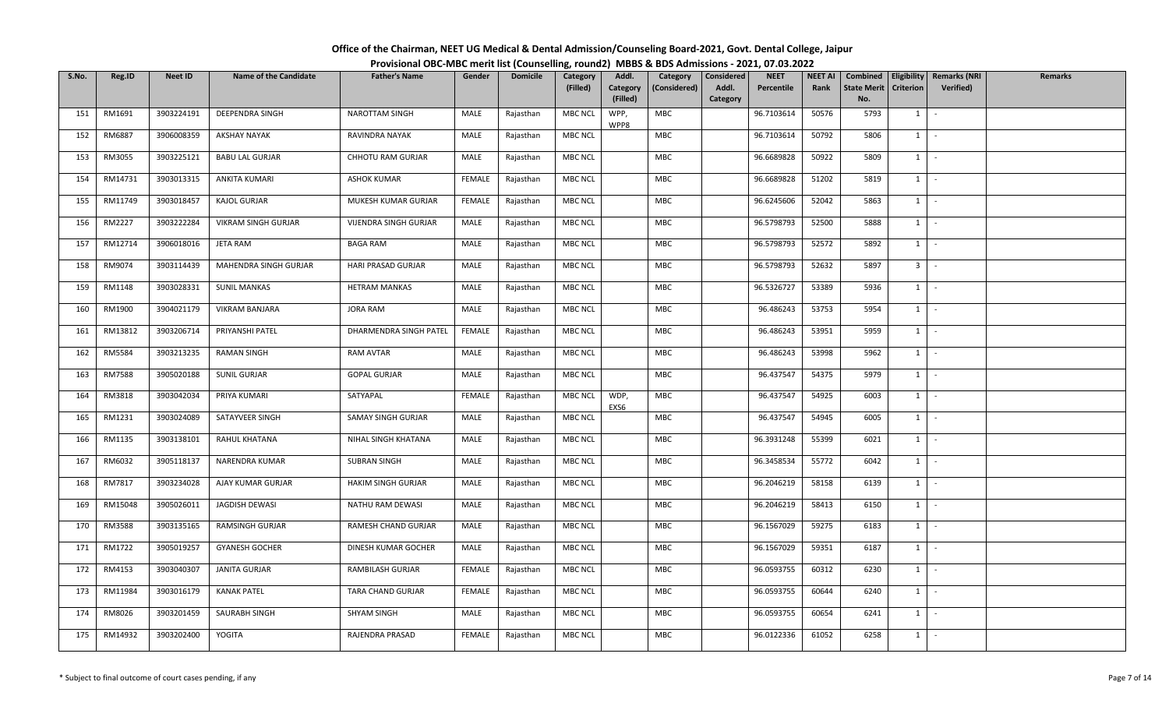| Office of the Chairman, NEET UG Medical & Dental Admission/Counseling Board-2021, Govt. Dental College, Jaipur |  |
|----------------------------------------------------------------------------------------------------------------|--|
| Provisional OBC-MBC merit list (Counselling, round2) MBBS & BDS Admissions - 2021, 07.03.2022                  |  |

| S.No. | Reg.ID  | Neet ID    | <b>Name of the Candidate</b> | <b>Father's Name</b>   | Gender        | <b>Domicile</b> | Category<br>(Filled) | Addl.<br>Category<br>(Filled) | Category<br>(Considered) | Considered<br>Addl.<br>Category | <b>NEET</b><br>Percentile | <b>NEET AI</b><br>Rank | Combined<br><b>State Merit</b><br>No. | <b>Criterion</b> | Eligibility   Remarks (NRI<br>Verified) | Remarks |
|-------|---------|------------|------------------------------|------------------------|---------------|-----------------|----------------------|-------------------------------|--------------------------|---------------------------------|---------------------------|------------------------|---------------------------------------|------------------|-----------------------------------------|---------|
| 151   | RM1691  | 3903224191 | DEEPENDRA SINGH              | <b>NAROTTAM SINGH</b>  | MALE          | Rajasthan       | MBC NCL              | WPP,<br>WPP8                  | MBC                      |                                 | 96.7103614                | 50576                  | 5793                                  | $1 \mid$         | $\sim$                                  |         |
| 152   | RM6887  | 3906008359 | <b>AKSHAY NAYAK</b>          | RAVINDRA NAYAK         | MALE          | Rajasthan       | <b>MBC NCL</b>       |                               | <b>MBC</b>               |                                 | 96.7103614                | 50792                  | 5806                                  | $1 \quad$        | $\sim$                                  |         |
| 153   | RM3055  | 3903225121 | <b>BABU LAL GURJAR</b>       | CHHOTU RAM GURJAR      | MALE          | Rajasthan       | <b>MBC NCL</b>       |                               | <b>MBC</b>               |                                 | 96.6689828                | 50922                  | 5809                                  | 1                | $\sim$                                  |         |
| 154   | RM14731 | 3903013315 | ANKITA KUMARI                | <b>ASHOK KUMAR</b>     | <b>FEMALE</b> | Rajasthan       | <b>MBC NCL</b>       |                               | MBC                      |                                 | 96.6689828                | 51202                  | 5819                                  | $1 \quad$        | $\sim$                                  |         |
| 155   | RM11749 | 3903018457 | KAJOL GURJAR                 | MUKESH KUMAR GURJAR    | FEMALE        | Rajasthan       | MBC NCL              |                               | MBC                      |                                 | 96.6245606                | 52042                  | 5863                                  | $1 \quad$        | $\sim$                                  |         |
| 156   | RM2227  | 3903222284 | <b>VIKRAM SINGH GURJAR</b>   | VIJENDRA SINGH GURJAR  | MALE          | Rajasthan       | MBC NCL              |                               | <b>MBC</b>               |                                 | 96.5798793                | 52500                  | 5888                                  | 1                | $\sim$                                  |         |
| 157   | RM12714 | 3906018016 | JETA RAM                     | <b>BAGA RAM</b>        | MALE          | Rajasthan       | <b>MBC NCL</b>       |                               | MBC                      |                                 | 96.5798793                | 52572                  | 5892                                  | $1 \vert$        | $\sim$                                  |         |
| 158   | RM9074  | 3903114439 | MAHENDRA SINGH GURJAR        | HARI PRASAD GURJAR     | MALE          | Rajasthan       | MBC NCL              |                               | MBC                      |                                 | 96.5798793                | 52632                  | 5897                                  | 3 <sup>1</sup>   | $\sim$                                  |         |
| 159   | RM1148  | 3903028331 | <b>SUNIL MANKAS</b>          | <b>HETRAM MANKAS</b>   | MALE          | Rajasthan       | MBC NCL              |                               | MBC                      |                                 | 96.5326727                | 53389                  | 5936                                  | $1 \quad$        | $\sim$                                  |         |
| 160   | RM1900  | 3904021179 | VIKRAM BANJARA               | <b>JORA RAM</b>        | MALE          | Rajasthan       | MBC NCL              |                               | <b>MBC</b>               |                                 | 96.486243                 | 53753                  | 5954                                  | $1 \vert$        | $\sim$                                  |         |
| 161   | RM13812 | 3903206714 | PRIYANSHI PATEL              | DHARMENDRA SINGH PATEL | FEMALE        | Rajasthan       | MBC NCL              |                               | MBC                      |                                 | 96.486243                 | 53951                  | 5959                                  | $1 \vert$        | $\sim$                                  |         |
| 162   | RM5584  | 3903213235 | <b>RAMAN SINGH</b>           | RAM AVTAR              | MALE          | Rajasthan       | MBC NCL              |                               | MBC                      |                                 | 96.486243                 | 53998                  | 5962                                  | 1                | $\sim$                                  |         |
| 163   | RM7588  | 3905020188 | SUNIL GURJAR                 | <b>GOPAL GURJAR</b>    | MALE          | Rajasthan       | MBC NCL              |                               | <b>MBC</b>               |                                 | 96.437547                 | 54375                  | 5979                                  | 1                | $\sim$                                  |         |
| 164   | RM3818  | 3903042034 | PRIYA KUMARI                 | SATYAPAL               | <b>FEMALE</b> | Rajasthan       | MBC NCL              | WDP,<br>EXS6                  | MBC                      |                                 | 96.437547                 | 54925                  | 6003                                  | $1 \quad$        | $\sim$                                  |         |
| 165   | RM1231  | 3903024089 | SATAYVEER SINGH              | SAMAY SINGH GURJAR     | MALE          | Rajasthan       | MBC NCL              |                               | <b>MBC</b>               |                                 | 96.437547                 | 54945                  | 6005                                  | $1 \quad$        | $\sim$                                  |         |
| 166   | RM1135  | 3903138101 | RAHUL KHATANA                | NIHAL SINGH KHATANA    | MALE          | Rajasthan       | MBC NCL              |                               | MBC                      |                                 | 96.3931248                | 55399                  | 6021                                  | $1 \quad$        | $\sim$                                  |         |
| 167   | RM6032  | 3905118137 | NARENDRA KUMAR               | <b>SUBRAN SINGH</b>    | MALE          | Rajasthan       | <b>MBC NCL</b>       |                               | MBC                      |                                 | 96.3458534                | 55772                  | 6042                                  | 1                | $\sim$                                  |         |
| 168   | RM7817  | 3903234028 | AJAY KUMAR GURJAR            | HAKIM SINGH GURJAR     | MALE          | Rajasthan       | MBC NCL              |                               | MBC                      |                                 | 96.2046219                | 58158                  | 6139                                  | 1                | $\sim$                                  |         |
| 169   | RM15048 | 3905026011 | JAGDISH DEWASI               | NATHU RAM DEWASI       | MALE          | Rajasthan       | MBC NCL              |                               | MBC                      |                                 | 96.2046219                | 58413                  | 6150                                  | 1                | $\sim$                                  |         |
| 170   | RM3588  | 3903135165 | <b>RAMSINGH GURJAR</b>       | RAMESH CHAND GURJAR    | MALE          | Rajasthan       | MBC NCL              |                               | <b>MBC</b>               |                                 | 96.1567029                | 59275                  | 6183                                  | 1                | $\sim$                                  |         |
| 171   | RM1722  | 3905019257 | <b>GYANESH GOCHER</b>        | DINESH KUMAR GOCHER    | MALE          | Rajasthan       | <b>MBC NCL</b>       |                               | MBC                      |                                 | 96.1567029                | 59351                  | 6187                                  | $1 \vert$        | $\sim$                                  |         |
| 172   | RM4153  | 3903040307 | <b>JANITA GURJAR</b>         | RAMBILASH GURJAR       | <b>FEMALE</b> | Rajasthan       | MBC NCL              |                               | <b>MBC</b>               |                                 | 96.0593755                | 60312                  | 6230                                  | $1 \vert$        | $\sim$                                  |         |
| 173   | RM11984 | 3903016179 | <b>KANAK PATEL</b>           | TARA CHAND GURJAR      | FEMALE        | Rajasthan       | <b>MBC NCL</b>       |                               | MBC                      |                                 | 96.0593755                | 60644                  | 6240                                  | 1                | $\sim$                                  |         |
| 174   | RM8026  | 3903201459 | SAURABH SINGH                | <b>SHYAM SINGH</b>     | MALE          | Rajasthan       | <b>MBC NCL</b>       |                               | MBC                      |                                 | 96.0593755                | 60654                  | 6241                                  | $1 \quad$        | $\sim$                                  |         |
| 175   | RM14932 | 3903202400 | YOGITA                       | RAJENDRA PRASAD        | FEMALE        | Rajasthan       | <b>MBC NCL</b>       |                               | <b>MBC</b>               |                                 | 96.0122336                | 61052                  | 6258                                  | $1 \quad$        | $\sim$                                  |         |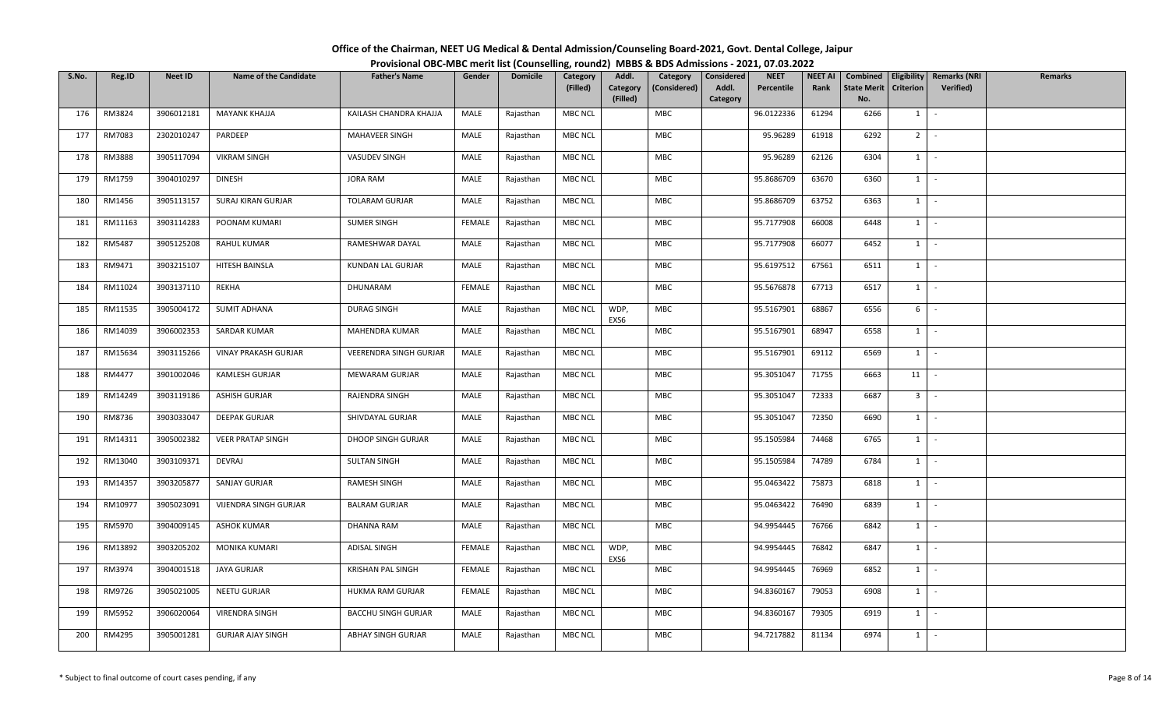| Office of the Chairman, NEET UG Medical & Dental Admission/Counseling Board-2021, Govt. Dental College, Jaipur |  |
|----------------------------------------------------------------------------------------------------------------|--|
| Provisional OBC-MBC merit list (Counselling, round2) MBBS & BDS Admissions - 2021, 07.03.2022                  |  |

| S.No. | Reg.ID  | <b>Neet ID</b> | <b>Name of the Candidate</b> | <b>Father's Name</b>       | Gender        | <b>Domicile</b> | Category       | Addl.                | Category     | <b>Considered</b> | <b>NEET</b> | NEET AI | Combined                  |                | Eligibility   Remarks (NRI | <b>Remarks</b> |
|-------|---------|----------------|------------------------------|----------------------------|---------------|-----------------|----------------|----------------------|--------------|-------------------|-------------|---------|---------------------------|----------------|----------------------------|----------------|
|       |         |                |                              |                            |               |                 | (Filled)       | Category<br>(Filled) | (Considered) | Addl.<br>Category | Percentile  | Rank    | <b>State Merit</b><br>No. | Criterion      | <b>Verified)</b>           |                |
| 176   | RM3824  | 3906012181     | MAYANK KHAJJA                | KAILASH CHANDRA KHAJJA     | MALE          | Rajasthan       | <b>MBC NCL</b> |                      | <b>MBC</b>   |                   | 96.0122336  | 61294   | 6266                      | 1              | $\sim$                     |                |
| 177   | RM7083  | 2302010247     | PARDEEP                      | MAHAVEER SINGH             | MALE          | Rajasthan       | <b>MBC NCL</b> |                      | MBC          |                   | 95.96289    | 61918   | 6292                      | 2 <sub>1</sub> | $\sim$                     |                |
| 178   | RM3888  | 3905117094     | <b>VIKRAM SINGH</b>          | VASUDEV SINGH              | MALE          | Rajasthan       | <b>MBC NCL</b> |                      | MBC          |                   | 95.96289    | 62126   | 6304                      | $1 \mid$       | $\sim$                     |                |
| 179   | RM1759  | 3904010297     | <b>DINESH</b>                | JORA RAM                   | MALE          | Rajasthan       | <b>MBC NCL</b> |                      | MBC          |                   | 95.8686709  | 63670   | 6360                      | $1 \vert -$    |                            |                |
| 180   | RM1456  | 3905113157     | SURAJ KIRAN GURJAR           | <b>TOLARAM GURJAR</b>      | MALE          | Rajasthan       | <b>MBC NCL</b> |                      | MBC          |                   | 95.8686709  | 63752   | 6363                      | $1 \vert$      | $\sim$                     |                |
| 181   | RM11163 | 3903114283     | POONAM KUMARI                | <b>SUMER SINGH</b>         | <b>FEMALE</b> | Rajasthan       | <b>MBC NCL</b> |                      | MBC          |                   | 95.7177908  | 66008   | 6448                      |                | $1 \cdot$                  |                |
| 182   | RM5487  | 3905125208     | <b>RAHUL KUMAR</b>           | RAMESHWAR DAYAL            | MALE          | Rajasthan       | <b>MBC NCL</b> |                      | MBC          |                   | 95.7177908  | 66077   | 6452                      | $1 \vert -$    |                            |                |
| 183   | RM9471  | 3903215107     | HITESH BAINSLA               | KUNDAN LAL GURJAR          | MALE          | Rajasthan       | <b>MBC NCL</b> |                      | MBC          |                   | 95.6197512  | 67561   | 6511                      | 1              | $\sim$                     |                |
| 184   | RM11024 | 3903137110     | REKHA                        | DHUNARAM                   | <b>FEMALE</b> | Rajasthan       | <b>MBC NCL</b> |                      | MBC          |                   | 95.5676878  | 67713   | 6517                      | $1 \mid$       | $\sim$                     |                |
| 185   | RM11535 | 3905004172     | <b>SUMIT ADHANA</b>          | DURAG SINGH                | MALE          | Rajasthan       | MBC NCL        | WDP,<br>EXS6         | MBC          |                   | 95.5167901  | 68867   | 6556                      | 6              | $\sim$                     |                |
| 186   | RM14039 | 3906002353     | SARDAR KUMAR                 | MAHENDRA KUMAR             | MALE          | Rajasthan       | <b>MBC NCL</b> |                      | MBC          |                   | 95.5167901  | 68947   | 6558                      | $1 \quad$      | $\sim$                     |                |
| 187   | RM15634 | 3903115266     | <b>VINAY PRAKASH GURJAR</b>  | VEERENDRA SINGH GURJAR     | MALE          | Rajasthan       | <b>MBC NCL</b> |                      | <b>MBC</b>   |                   | 95.5167901  | 69112   | 6569                      | 1              | $\sim$                     |                |
| 188   | RM4477  | 3901002046     | KAMLESH GURJAR               | MEWARAM GURJAR             | MALE          | Rajasthan       | <b>MBC NCL</b> |                      | MBC          |                   | 95.3051047  | 71755   | 6663                      | $11$ -         |                            |                |
| 189   | RM14249 | 3903119186     | <b>ASHISH GURJAR</b>         | RAJENDRA SINGH             | MALE          | Rajasthan       | <b>MBC NCL</b> |                      | <b>MBC</b>   |                   | 95.3051047  | 72333   | 6687                      | 3 <sup>1</sup> | $\sim$                     |                |
| 190   | RM8736  | 3903033047     | <b>DEEPAK GURJAR</b>         | SHIVDAYAL GURJAR           | MALE          | Rajasthan       | MBC NCL        |                      | MBC          |                   | 95.3051047  | 72350   | 6690                      | $1 \quad$      | $\sim$                     |                |
| 191   | RM14311 | 3905002382     | <b>VEER PRATAP SINGH</b>     | DHOOP SINGH GURJAR         | MALE          | Rajasthan       | <b>MBC NCL</b> |                      | MBC          |                   | 95.1505984  | 74468   | 6765                      |                | $1 \mid -$                 |                |
| 192   | RM13040 | 3903109371     | DEVRAJ                       | <b>SULTAN SINGH</b>        | MALE          | Rajasthan       | <b>MBC NCL</b> |                      | MBC          |                   | 95.1505984  | 74789   | 6784                      |                | $1 \cdot$                  |                |
| 193   | RM14357 | 3903205877     | SANJAY GURJAR                | RAMESH SINGH               | MALE          | Rajasthan       | <b>MBC NCL</b> |                      | MBC          |                   | 95.0463422  | 75873   | 6818                      |                | $1 \mid -$                 |                |
| 194   | RM10977 | 3905023091     | VIJENDRA SINGH GURJAR        | <b>BALRAM GURJAR</b>       | MALE          | Rajasthan       | <b>MBC NCL</b> |                      | MBC          |                   | 95.0463422  | 76490   | 6839                      | $1 \quad$      | $\sim$                     |                |
| 195   | RM5970  | 3904009145     | <b>ASHOK KUMAR</b>           | DHANNA RAM                 | MALE          | Rajasthan       | <b>MBC NCL</b> |                      | <b>MBC</b>   |                   | 94.9954445  | 76766   | 6842                      | $1 \quad$      | $\sim$                     |                |
| 196   | RM13892 | 3903205202     | MONIKA KUMARI                | ADISAL SINGH               | <b>FEMALE</b> | Rajasthan       | <b>MBC NCL</b> | WDP,<br>EXS6         | MBC          |                   | 94.9954445  | 76842   | 6847                      | $1$ $-$        |                            |                |
| 197   | RM3974  | 3904001518     | <b>JAYA GURJAR</b>           | KRISHAN PAL SINGH          | <b>FEMALE</b> | Rajasthan       | <b>MBC NCL</b> |                      | MBC          |                   | 94.9954445  | 76969   | 6852                      | 1              | $\sim$                     |                |
| 198   | RM9726  | 3905021005     | NEETU GURJAR                 | HUKMA RAM GURJAR           | <b>FEMALE</b> | Rajasthan       | <b>MBC NCL</b> |                      | MBC          |                   | 94.8360167  | 79053   | 6908                      | $1 \quad$      | $\sim$                     |                |
| 199   | RM5952  | 3906020064     | VIRENDRA SINGH               | <b>BACCHU SINGH GURJAR</b> | MALE          | Rajasthan       | <b>MBC NCL</b> |                      | MBC          |                   | 94.8360167  | 79305   | 6919                      |                | $1 \mid -$                 |                |
| 200   | RM4295  | 3905001281     | <b>GURJAR AJAY SINGH</b>     | ABHAY SINGH GURJAR         | MALE          | Rajasthan       | <b>MBC NCL</b> |                      | MBC          |                   | 94.7217882  | 81134   | 6974                      | $1 \quad$      | $\sim$                     |                |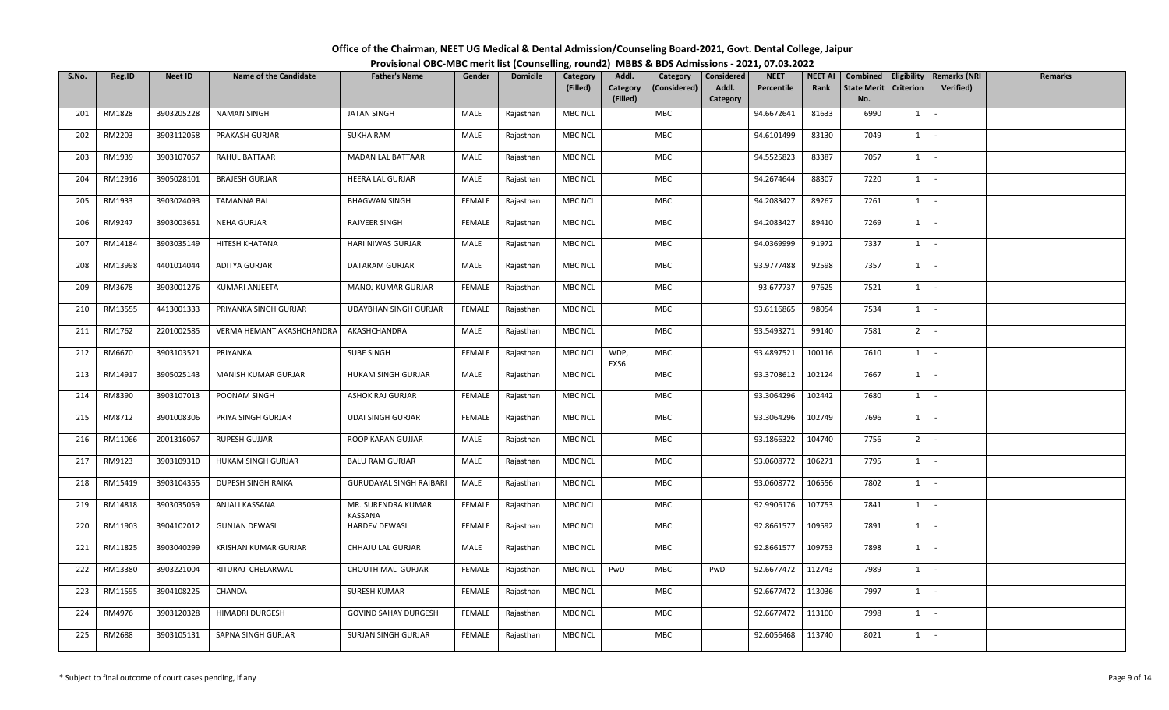| Office of the Chairman, NEET UG Medical & Dental Admission/Counseling Board-2021, Govt. Dental College, Jaipur |  |
|----------------------------------------------------------------------------------------------------------------|--|
| Provisional OBC-MBC merit list (Counselling, round2) MBBS & BDS Admissions - 2021, 07.03.2022                  |  |

| S.No. | Reg.ID  | Neet ID    | <b>Name of the Candidate</b> | <b>Father's Name</b>           | Gender        | <b>Domicile</b> | Category<br>(Filled) | Addl.<br>Category<br>(Filled) | Category<br>(Considered) | Considered<br>Addl.<br>Category | <b>NEET</b><br>Percentile | <b>NEET AI</b><br>Rank | Combined<br><b>State Merit</b><br>No. | Criterion      | Eligibility   Remarks (NRI<br>Verified) | Remarks |
|-------|---------|------------|------------------------------|--------------------------------|---------------|-----------------|----------------------|-------------------------------|--------------------------|---------------------------------|---------------------------|------------------------|---------------------------------------|----------------|-----------------------------------------|---------|
| 201   | RM1828  | 3903205228 | <b>NAMAN SINGH</b>           | <b>JATAN SINGH</b>             | MALE          | Rajasthan       | MBC NCL              |                               | <b>MBC</b>               |                                 | 94.6672641                | 81633                  | 6990                                  | $1 \mid$       | $\sim$                                  |         |
| 202   | RM2203  | 3903112058 | PRAKASH GURJAR               | <b>SUKHA RAM</b>               | MALE          | Rajasthan       | <b>MBC NCL</b>       |                               | MBC                      |                                 | 94.6101499                | 83130                  | 7049                                  | $1 \quad$      | $\sim$                                  |         |
| 203   | RM1939  | 3903107057 | RAHUL BATTAAR                | <b>MADAN LAL BATTAAR</b>       | MALE          | Rajasthan       | MBC NCL              |                               | MBC                      |                                 | 94.5525823                | 83387                  | 7057                                  | $1 \vert$      | $\sim$                                  |         |
| 204   | RM12916 | 3905028101 | <b>BRAJESH GURJAR</b>        | HEERA LAL GURJAR               | MALE          | Rajasthan       | MBC NCL              |                               | MBC                      |                                 | 94.2674644                | 88307                  | 7220                                  | 1              | $\sim$                                  |         |
| 205   | RM1933  | 3903024093 | <b>TAMANNA BAI</b>           | <b>BHAGWAN SINGH</b>           | FEMALE        | Rajasthan       | MBC NCL              |                               | MBC                      |                                 | 94.2083427                | 89267                  | 7261                                  | $1 \quad$      | $\sim$                                  |         |
| 206   | RM9247  | 3903003651 | NEHA GURJAR                  | RAJVEER SINGH                  | FEMALE        | Rajasthan       | MBC NCL              |                               | MBC                      |                                 | 94.2083427                | 89410                  | 7269                                  | $1 \vert$      | $\sim$                                  |         |
| 207   | RM14184 | 3903035149 | HITESH KHATANA               | HARI NIWAS GURJAR              | MALE          | Rajasthan       | <b>MBC NCL</b>       |                               | MBC                      |                                 | 94.0369999                | 91972                  | 7337                                  | 1              | $\sim$                                  |         |
| 208   | RM13998 | 4401014044 | ADITYA GURJAR                | DATARAM GURJAR                 | MALE          | Rajasthan       | MBC NCL              |                               | <b>MBC</b>               |                                 | 93.9777488                | 92598                  | 7357                                  | 1              | $\sim$                                  |         |
| 209   | RM3678  | 3903001276 | KUMARI ANJEETA               | MANOJ KUMAR GURJAR             | <b>FEMALE</b> | Rajasthan       | <b>MBC NCL</b>       |                               | MBC                      |                                 | 93.677737                 | 97625                  | 7521                                  | $1 \quad$      | $\sim$                                  |         |
| 210   | RM13555 | 4413001333 | PRIYANKA SINGH GURJAR        | <b>UDAYBHAN SINGH GURJAR</b>   | FEMALE        | Rajasthan       | MBC NCL              |                               | MBC                      |                                 | 93.6116865                | 98054                  | 7534                                  | 1              | $\sim$                                  |         |
| 211   | RM1762  | 2201002585 | VERMA HEMANT AKASHCHANDRA    | AKASHCHANDRA                   | MALE          | Rajasthan       | MBC NCL              |                               | MBC                      |                                 | 93.5493271                | 99140                  | 7581                                  | 2 <sup>1</sup> | $\sim$                                  |         |
| 212   | RM6670  | 3903103521 | PRIYANKA                     | SUBE SINGH                     | FEMALE        | Rajasthan       | MBC NCL              | WDP,<br>EXS6                  | <b>MBC</b>               |                                 | 93.4897521                | 100116                 | 7610                                  | 1              | $\sim$                                  |         |
| 213   | RM14917 | 3905025143 | MANISH KUMAR GURJAR          | HUKAM SINGH GURJAR             | MALE          | Rajasthan       | <b>MBC NCL</b>       |                               | MBC                      |                                 | 93.3708612                | 102124                 | 7667                                  | $1$ $\cdot$    |                                         |         |
| 214   | RM8390  | 3903107013 | POONAM SINGH                 | ASHOK RAJ GURJAR               | <b>FEMALE</b> | Rajasthan       | <b>MBC NCL</b>       |                               | <b>MBC</b>               |                                 | 93.3064296                | 102442                 | 7680                                  | $1 \quad$      | $\sim$                                  |         |
| 215   | RM8712  | 3901008306 | PRIYA SINGH GURJAR           | <b>UDAI SINGH GURJAR</b>       | FEMALE        | Rajasthan       | MBC NCL              |                               | <b>MBC</b>               |                                 | 93.3064296                | 102749                 | 7696                                  | $1 \mid$       | $\sim$                                  |         |
| 216   | RM11066 | 2001316067 | RUPESH GUJJAR                | ROOP KARAN GUJJAR              | MALE          | Rajasthan       | MBC NCL              |                               | MBC                      |                                 | 93.1866322                | 104740                 | 7756                                  | 2 <sub>1</sub> | $\sim$                                  |         |
| 217   | RM9123  | 3903109310 | HUKAM SINGH GURJAR           | <b>BALU RAM GURJAR</b>         | MALE          | Rajasthan       | <b>MBC NCL</b>       |                               | MBC                      |                                 | 93.0608772                | 106271                 | 7795                                  | $1 \quad$      | $\sim$                                  |         |
| 218   | RM15419 | 3903104355 | <b>DUPESH SINGH RAIKA</b>    | <b>GURUDAYAL SINGH RAIBARI</b> | MALE          | Rajasthan       | <b>MBC NCL</b>       |                               | <b>MBC</b>               |                                 | 93.0608772                | 106556                 | 7802                                  | $1 \quad$      | $\sim$                                  |         |
| 219   | RM14818 | 3903035059 | ANJALI KASSANA               | MR. SURENDRA KUMAR<br>KASSANA  | FEMALE        | Rajasthan       | <b>MBC NCL</b>       |                               | MBC                      |                                 | 92.9906176                | 107753                 | 7841                                  | $1 \quad$      | $\sim$                                  |         |
| 220   | RM11903 | 3904102012 | <b>GUNJAN DEWASI</b>         | <b>HARDEV DEWASI</b>           | FEMALE        | Rajasthan       | MBC NCL              |                               | <b>MBC</b>               |                                 | 92.8661577                | 109592                 | 7891                                  | 1              | $\sim$                                  |         |
| 221   | RM11825 | 3903040299 | KRISHAN KUMAR GURJAR         | CHHAJU LAL GURJAR              | MALE          | Rajasthan       | <b>MBC NCL</b>       |                               | <b>MBC</b>               |                                 | 92.8661577                | 109753                 | 7898                                  | 1              | $\sim$                                  |         |
| 222   | RM13380 | 3903221004 | RITURAJ CHELARWAL            | CHOUTH MAL GURJAR              | <b>FEMALE</b> | Rajasthan       | MBC NCL              | PwD                           | MBC                      | PwD                             | 92.6677472                | 112743                 | 7989                                  | $1 \quad$      | $\sim$                                  |         |
| 223   | RM11595 | 3904108225 | CHANDA                       | SURESH KUMAR                   | FEMALE        | Rajasthan       | <b>MBC NCL</b>       |                               | MBC                      |                                 | 92.6677472                | 113036                 | 7997                                  | $1 \quad$      | $\sim$                                  |         |
| 224   | RM4976  | 3903120328 | HIMADRI DURGESH              | <b>GOVIND SAHAY DURGESH</b>    | FEMALE        | Rajasthan       | <b>MBC NCL</b>       |                               | MBC                      |                                 | 92.6677472                | 113100                 | 7998                                  | $1 \quad$      | $\sim$                                  |         |
| 225   | RM2688  | 3903105131 | SAPNA SINGH GURJAR           | SURJAN SINGH GURJAR            | FEMALE        | Rajasthan       | MBC NCL              |                               | <b>MBC</b>               |                                 | 92.6056468                | 113740                 | 8021                                  | $1 \quad$      | $\sim$                                  |         |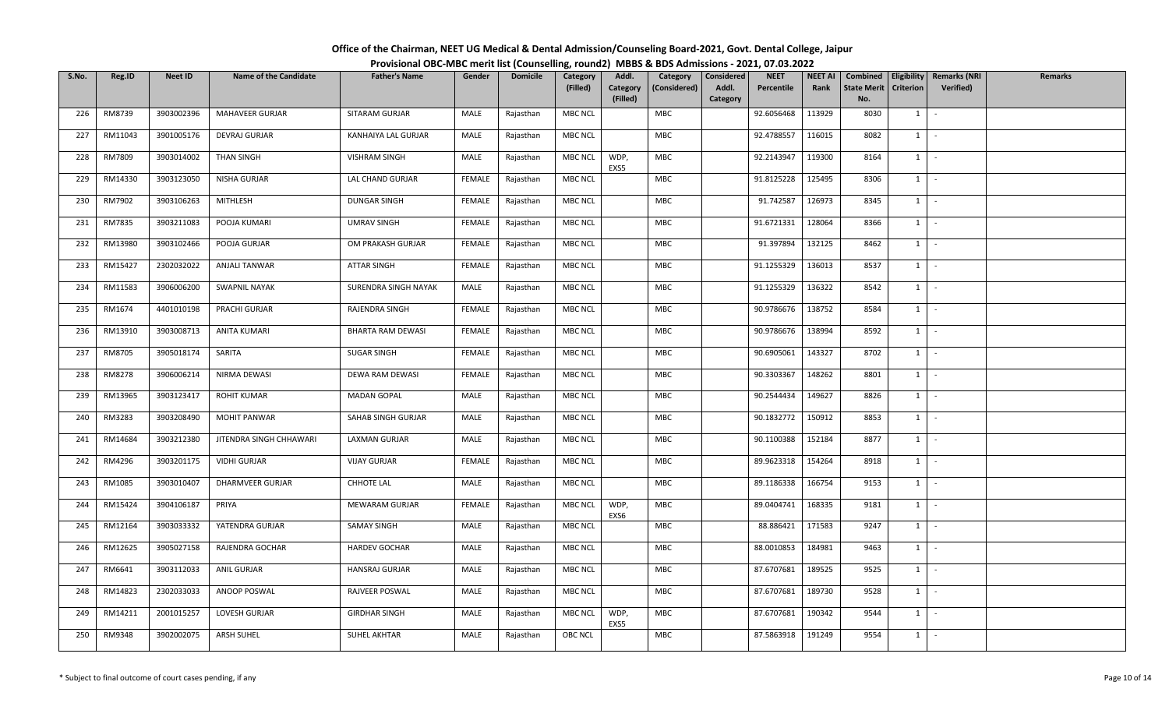| Office of the Chairman, NEET UG Medical & Dental Admission/Counseling Board-2021, Govt. Dental College, Jaipur |  |
|----------------------------------------------------------------------------------------------------------------|--|
| Provisional OBC-MBC merit list (Counselling, round2) MBBS & BDS Admissions - 2021, 07.03.2022                  |  |

| S.No. | Reg.ID  | <b>Neet ID</b> | <b>Name of the Candidate</b> | <b>Father's Name</b>  | Gender        | <b>Domicile</b> | Category<br>(Filled) | Addl.<br>Category<br>(Filled) | Category<br>(Considered) | <b>Considered</b><br>Addl.<br>Category | <b>NEET</b><br>Percentile | <b>NEET AI</b><br>Rank | Combined<br>State Merit<br>No. | <b>Criterion</b> | Eligibility   Remarks (NRI<br><b>Verified)</b> | Remarks |
|-------|---------|----------------|------------------------------|-----------------------|---------------|-----------------|----------------------|-------------------------------|--------------------------|----------------------------------------|---------------------------|------------------------|--------------------------------|------------------|------------------------------------------------|---------|
| 226   | RM8739  | 3903002396     | MAHAVEER GURJAR              | SITARAM GURJAR        | MALE          | Rajasthan       | <b>MBC NCL</b>       |                               | MBC                      |                                        | 92.6056468                | 113929                 | 8030                           | $1 \mid$         | $\sim$                                         |         |
| 227   | RM11043 | 3901005176     | DEVRAJ GURJAR                | KANHAIYA LAL GURJAR   | MALE          | Rajasthan       | <b>MBC NCL</b>       |                               | MBC                      |                                        | 92.4788557                | 116015                 | 8082                           | $1 \quad$        | $\sim$                                         |         |
| 228   | RM7809  | 3903014002     | THAN SINGH                   | <b>VISHRAM SINGH</b>  | MALE          | Rajasthan       | <b>MBC NCL</b>       | WDP,<br>EXS5                  | MBC                      |                                        | 92.2143947                | 119300                 | 8164                           |                  | $1 \mid -$                                     |         |
| 229   | RM14330 | 3903123050     | NISHA GURJAR                 | LAL CHAND GURJAR      | <b>FEMALE</b> | Rajasthan       | <b>MBC NCL</b>       |                               | MBC                      |                                        | 91.8125228                | 125495                 | 8306                           | $1 \quad$        | $\sim$                                         |         |
| 230   | RM7902  | 3903106263     | MITHLESH                     | <b>DUNGAR SINGH</b>   | FEMALE        | Rajasthan       | <b>MBC NCL</b>       |                               | MBC                      |                                        | 91.742587                 | 126973                 | 8345                           | $1 \quad$        | $\sim$                                         |         |
| 231   | RM7835  | 3903211083     | POOJA KUMARI                 | <b>UMRAV SINGH</b>    | FEMALE        | Rajasthan       | <b>MBC NCL</b>       |                               | MBC                      |                                        | 91.6721331                | 128064                 | 8366                           | $1 \quad$        | $\sim$                                         |         |
| 232   | RM13980 | 3903102466     | POOJA GURJAR                 | OM PRAKASH GURJAR     | <b>FEMALE</b> | Rajasthan       | <b>MBC NCL</b>       |                               | MBC                      |                                        | 91.397894                 | 132125                 | 8462                           | 1                | $\sim$                                         |         |
| 233   | RM15427 | 2302032022     | <b>ANJALI TANWAR</b>         | ATTAR SINGH           | <b>FEMALE</b> | Rajasthan       | MBC NCL              |                               | MBC                      |                                        | 91.1255329                | 136013                 | 8537                           | 1                | $\sim$                                         |         |
| 234   | RM11583 | 3906006200     | SWAPNIL NAYAK                | SURENDRA SINGH NAYAK  | MALE          | Rajasthan       | <b>MBC NCL</b>       |                               | MBC                      |                                        | 91.1255329                | 136322                 | 8542                           | $1 \vert$        | $\sim$                                         |         |
| 235   | RM1674  | 4401010198     | PRACHI GURJAR                | RAJENDRA SINGH        | <b>FEMALE</b> | Rajasthan       | <b>MBC NCL</b>       |                               | MBC                      |                                        | 90.9786676                | 138752                 | 8584                           | $1 \quad$        | $\sim$                                         |         |
| 236   | RM13910 | 3903008713     | <b>ANITA KUMARI</b>          | BHARTA RAM DEWASI     | <b>FEMALE</b> | Rajasthan       | <b>MBC NCL</b>       |                               | MBC                      |                                        | 90.9786676                | 138994                 | 8592                           | $1 \quad$        | $\sim$                                         |         |
| 237   | RM8705  | 3905018174     | SARITA                       | SUGAR SINGH           | <b>FEMALE</b> | Rajasthan       | <b>MBC NCL</b>       |                               | <b>MBC</b>               |                                        | 90.6905061                | 143327                 | 8702                           | $1 \vert$        | $\sim$                                         |         |
| 238   | RM8278  | 3906006214     | NIRMA DEWASI                 | DEWA RAM DEWASI       | <b>FEMALE</b> | Rajasthan       | <b>MBC NCL</b>       |                               | MBC                      |                                        | 90.3303367                | 148262                 | 8801                           | 1                | $\sim$                                         |         |
| 239   | RM13965 | 3903123417     | ROHIT KUMAR                  | <b>MADAN GOPAL</b>    | MALE          | Rajasthan       | <b>MBC NCL</b>       |                               | MBC                      |                                        | 90.2544434                | 149627                 | 8826                           | $1 \quad$        | $\sim$                                         |         |
| 240   | RM3283  | 3903208490     | <b>MOHIT PANWAR</b>          | SAHAB SINGH GURJAR    | MALE          | Rajasthan       | <b>MBC NCL</b>       |                               | <b>MBC</b>               |                                        | 90.1832772                | 150912                 | 8853                           | $1 \quad$        | $\sim$                                         |         |
| 241   | RM14684 | 3903212380     | JITENDRA SINGH CHHAWARI      | <b>LAXMAN GURJAR</b>  | MALE          | Rajasthan       | <b>MBC NCL</b>       |                               | MBC                      |                                        | 90.1100388                | 152184                 | 8877                           |                  | $1 \mid -$                                     |         |
| 242   | RM4296  | 3903201175     | <b>VIDHI GURJAR</b>          | <b>VIJAY GURJAR</b>   | <b>FEMALE</b> | Rajasthan       | <b>MBC NCL</b>       |                               | MBC                      |                                        | 89.9623318                | 154264                 | 8918                           | $1 \quad$        | $\sim$                                         |         |
| 243   | RM1085  | 3903010407     | <b>DHARMVEER GURJAR</b>      | CHHOTE LAL            | MALE          | Rajasthan       | <b>MBC NCL</b>       |                               | MBC                      |                                        | 89.1186338                | 166754                 | 9153                           | $1 \quad$        | $\sim$                                         |         |
| 244   | RM15424 | 3904106187     | PRIYA                        | <b>MEWARAM GURJAR</b> | <b>FEMALE</b> | Rajasthan       | MBC NCL              | WDP,<br>EXS6                  | MBC                      |                                        | 89.0404741                | 168335                 | 9181                           |                  | $1 \mid -$                                     |         |
| 245   | RM12164 | 3903033332     | YATENDRA GURJAR              | SAMAY SINGH           | MALE          | Rajasthan       | <b>MBC NCL</b>       |                               | MBC                      |                                        | 88.886421                 | 171583                 | 9247                           | $1 \quad$        | $\sim$                                         |         |
| 246   | RM12625 | 3905027158     | RAJENDRA GOCHAR              | <b>HARDEV GOCHAR</b>  | MALE          | Rajasthan       | <b>MBC NCL</b>       |                               | MBC                      |                                        | 88.0010853                | 184981                 | 9463                           |                  | $1 \cdot$                                      |         |
| 247   | RM6641  | 3903112033     | <b>ANIL GURJAR</b>           | HANSRAJ GURJAR        | MALE          | Rajasthan       | <b>MBC NCL</b>       |                               | MBC                      |                                        | 87.6707681                | 189525                 | 9525                           | $1 \mid$         | $\sim$                                         |         |
| 248   | RM14823 | 2302033033     | ANOOP POSWAL                 | RAJVEER POSWAL        | MALE          | Rajasthan       | <b>MBC NCL</b>       |                               | MBC                      |                                        | 87.6707681                | 189730                 | 9528                           | $1 \quad$        | $\sim$                                         |         |
| 249   | RM14211 | 2001015257     | LOVESH GURJAR                | <b>GIRDHAR SINGH</b>  | MALE          | Rajasthan       | MBC NCL              | WDP,<br>EXS5                  | MBC                      |                                        | 87.6707681                | 190342                 | 9544                           | $1 \quad$        | $\sim$                                         |         |
| 250   | RM9348  | 3902002075     | <b>ARSH SUHEL</b>            | SUHEL AKHTAR          | MALE          | Rajasthan       | <b>OBC NCL</b>       |                               | <b>MBC</b>               |                                        | 87.5863918                | 191249                 | 9554                           | $1 \quad$        | $\sim$                                         |         |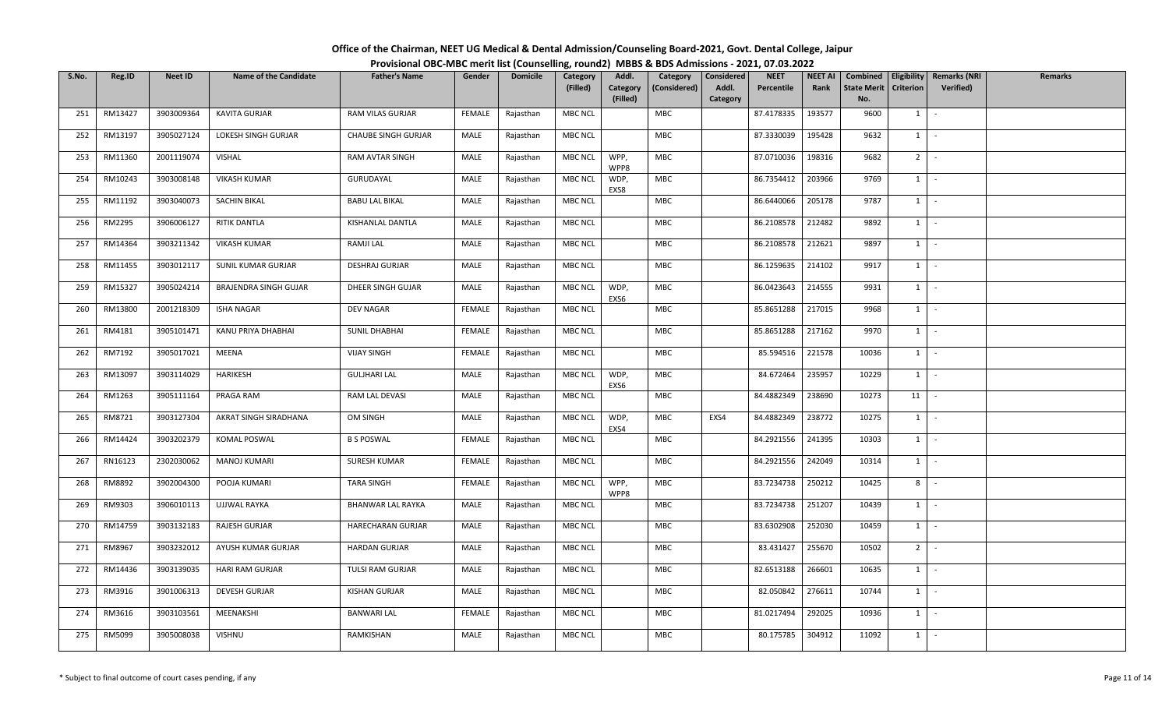| Office of the Chairman, NEET UG Medical & Dental Admission/Counseling Board-2021, Govt. Dental College, Jaipur |  |
|----------------------------------------------------------------------------------------------------------------|--|
| Provisional OBC-MBC merit list (Counselling, round2) MBBS & BDS Admissions - 2021, 07.03.2022                  |  |

| S.No. | Reg.ID  | Neet ID    | <b>Name of the Candidate</b> | <b>Father's Name</b>       | Gender        | <b>Domicile</b> | Category<br>(Filled) | Addl.<br>Category<br>(Filled) | Category<br>(Considered) | Considered<br>Addl.<br>Category | <b>NEET</b><br>Percentile | <b>NEET AI</b><br>Rank | Combined<br><b>State Merit</b><br>No. | <b>Criterion</b> | Eligibility   Remarks (NRI<br>Verified) | Remarks |
|-------|---------|------------|------------------------------|----------------------------|---------------|-----------------|----------------------|-------------------------------|--------------------------|---------------------------------|---------------------------|------------------------|---------------------------------------|------------------|-----------------------------------------|---------|
| 251   | RM13427 | 3903009364 | KAVITA GURJAR                | RAM VILAS GURJAR           | <b>FEMALE</b> | Rajasthan       | MBC NCL              |                               | <b>MBC</b>               |                                 | 87.4178335                | 193577                 | 9600                                  | $1 \mid$         | $\sim$                                  |         |
| 252   | RM13197 | 3905027124 | LOKESH SINGH GURJAR          | <b>CHAUBE SINGH GURJAR</b> | MALE          | Rajasthan       | <b>MBC NCL</b>       |                               | <b>MBC</b>               |                                 | 87.3330039                | 195428                 | 9632                                  | $1 \quad$        | $\sim$                                  |         |
| 253   | RM11360 | 2001119074 | VISHAL                       | <b>RAM AVTAR SINGH</b>     | MALE          | Rajasthan       | <b>MBC NCL</b>       | WPP,<br>WPP8                  | MBC                      |                                 | 87.0710036                | 198316                 | 9682                                  | $2^{\circ}$      | $\sim$                                  |         |
| 254   | RM10243 | 3903008148 | <b>VIKASH KUMAR</b>          | GURUDAYAL                  | MALE          | Rajasthan       | MBC NCL              | WDP,<br>EXS8                  | MBC                      |                                 | 86.7354412                | 203966                 | 9769                                  | 1                | $\sim$                                  |         |
| 255   | RM11192 | 3903040073 | <b>SACHIN BIKAL</b>          | <b>BABU LAL BIKAL</b>      | MALE          | Rajasthan       | <b>MBC NCL</b>       |                               | MBC                      |                                 | 86.6440066                | 205178                 | 9787                                  | 1                | $\sim$                                  |         |
| 256   | RM2295  | 3906006127 | RITIK DANTLA                 | KISHANLAL DANTLA           | MALE          | Rajasthan       | <b>MBC NCL</b>       |                               | MBC                      |                                 | 86.2108578                | 212482                 | 9892                                  | $1 \vert$        | $\sim$                                  |         |
| 257   | RM14364 | 3903211342 | <b>VIKASH KUMAR</b>          | RAMJI LAL                  | MALE          | Rajasthan       | <b>MBC NCL</b>       |                               | MBC                      |                                 | 86.2108578                | 212621                 | 9897                                  | 1                | $\sim$                                  |         |
| 258   | RM11455 | 3903012117 | SUNIL KUMAR GURJAR           | <b>DESHRAJ GURJAR</b>      | MALE          | Rajasthan       | MBC NCL              |                               | <b>MBC</b>               |                                 | 86.1259635                | 214102                 | 9917                                  | 1                | $\sim$                                  |         |
| 259   | RM15327 | 3905024214 | <b>BRAJENDRA SINGH GUJAR</b> | DHEER SINGH GUJAR          | MALE          | Rajasthan       | MBC NCL              | WDP,<br>EXS6                  | MBC                      |                                 | 86.0423643                | 214555                 | 9931                                  | $1 \vert$        | $\sim$                                  |         |
| 260   | RM13800 | 2001218309 | <b>ISHA NAGAR</b>            | DEV NAGAR                  | FEMALE        | Rajasthan       | <b>MBC NCL</b>       |                               | MBC                      |                                 | 85.8651288                | 217015                 | 9968                                  | $1 \mid$         | $\sim$                                  |         |
| 261   | RM4181  | 3905101471 | KANU PRIYA DHABHAI           | <b>SUNIL DHABHAI</b>       | FEMALE        | Rajasthan       | MBC NCL              |                               | MBC                      |                                 | 85.8651288                | 217162                 | 9970                                  | $1 \quad$        | $\sim$                                  |         |
| 262   | RM7192  | 3905017021 | <b>MEENA</b>                 | <b>VIJAY SINGH</b>         | <b>FEMALE</b> | Rajasthan       | <b>MBC NCL</b>       |                               | <b>MBC</b>               |                                 | 85.594516                 | 221578                 | 10036                                 | 1                | $\sim$                                  |         |
| 263   | RM13097 | 3903114029 | HARIKESH                     | <b>GULJHARI LAL</b>        | MALE          | Rajasthan       | MBC NCL              | WDP,<br>EXS6                  | MBC                      |                                 | 84.672464                 | 235957                 | 10229                                 | $1 \mid$         | $\sim$                                  |         |
| 264   | RM1263  | 3905111164 | PRAGA RAM                    | RAM LAL DEVASI             | MALE          | Rajasthan       | <b>MBC NCL</b>       |                               | <b>MBC</b>               |                                 | 84.4882349                | 238690                 | 10273                                 | 11               | $\sim$                                  |         |
| 265   | RM8721  | 3903127304 | AKRAT SINGH SIRADHANA        | OM SINGH                   | MALE          | Rajasthan       | MBC NCL              | WDP,<br>EXS4                  | <b>MBC</b>               | EXS4                            | 84.4882349                | 238772                 | 10275                                 | $1 \mid$         | $\sim$                                  |         |
| 266   | RM14424 | 3903202379 | <b>KOMAL POSWAL</b>          | <b>B S POSWAL</b>          | <b>FEMALE</b> | Rajasthan       | MBC NCL              |                               | MBC                      |                                 | 84.2921556                | 241395                 | 10303                                 | $1 \quad$        | $\sim$                                  |         |
| 267   | RN16123 | 2302030062 | <b>MANOJ KUMARI</b>          | SURESH KUMAR               | <b>FEMALE</b> | Rajasthan       | MBC NCL              |                               | <b>MBC</b>               |                                 | 84.2921556                | 242049                 | 10314                                 | $1 \quad$        | $\sim$                                  |         |
| 268   | RM8892  | 3902004300 | POOJA KUMARI                 | <b>TARA SINGH</b>          | <b>FEMALE</b> | Rajasthan       | MBC NCL              | WPP,<br>WPP8                  | MBC                      |                                 | 83.7234738                | 250212                 | 10425                                 | 8                | $\sim$                                  |         |
| 269   | RM9303  | 3906010113 | UJJWAL RAYKA                 | BHANWAR LAL RAYKA          | MALE          | Rajasthan       | <b>MBC NCL</b>       |                               | MBC                      |                                 | 83.7234738                | 251207                 | 10439                                 | $1 \vert$        | $\sim$                                  |         |
| 270   | RM14759 | 3903132183 | RAJESH GURJAR                | HARECHARAN GURJAR          | MALE          | Rajasthan       | MBC NCL              |                               | <b>MBC</b>               |                                 | 83.6302908                | 252030                 | 10459                                 | 1                | $\sim$                                  |         |
| 271   | RM8967  | 3903232012 | AYUSH KUMAR GURJAR           | <b>HARDAN GURJAR</b>       | MALE          | Rajasthan       | MBC NCL              |                               | MBC                      |                                 | 83.431427                 | 255670                 | 10502                                 | 2 <sup>1</sup>   | $\sim$                                  |         |
| 272   | RM14436 | 3903139035 | HARI RAM GURJAR              | TULSI RAM GURJAR           | MALE          | Rajasthan       | MBC NCL              |                               | <b>MBC</b>               |                                 | 82.6513188                | 266601                 | 10635                                 | $1 \quad$        | $\sim$                                  |         |
| 273   | RM3916  | 3901006313 | <b>DEVESH GURJAR</b>         | KISHAN GURJAR              | MALE          | Rajasthan       | <b>MBC NCL</b>       |                               | MBC                      |                                 | 82.050842                 | 276611                 | 10744                                 | $1 \quad$        | $\sim$                                  |         |
| 274   | RM3616  | 3903103561 | MEENAKSHI                    | <b>BANWARI LAL</b>         | FEMALE        | Rajasthan       | <b>MBC NCL</b>       |                               | MBC                      |                                 | 81.0217494                | 292025                 | 10936                                 | 1                | $\sim$                                  |         |
| 275   | RM5099  | 3905008038 | <b>VISHNU</b>                | RAMKISHAN                  | MALE          | Rajasthan       | MBC NCL              |                               | <b>MBC</b>               |                                 | 80.175785                 | 304912                 | 11092                                 | $1 \quad$        | $\sim$                                  |         |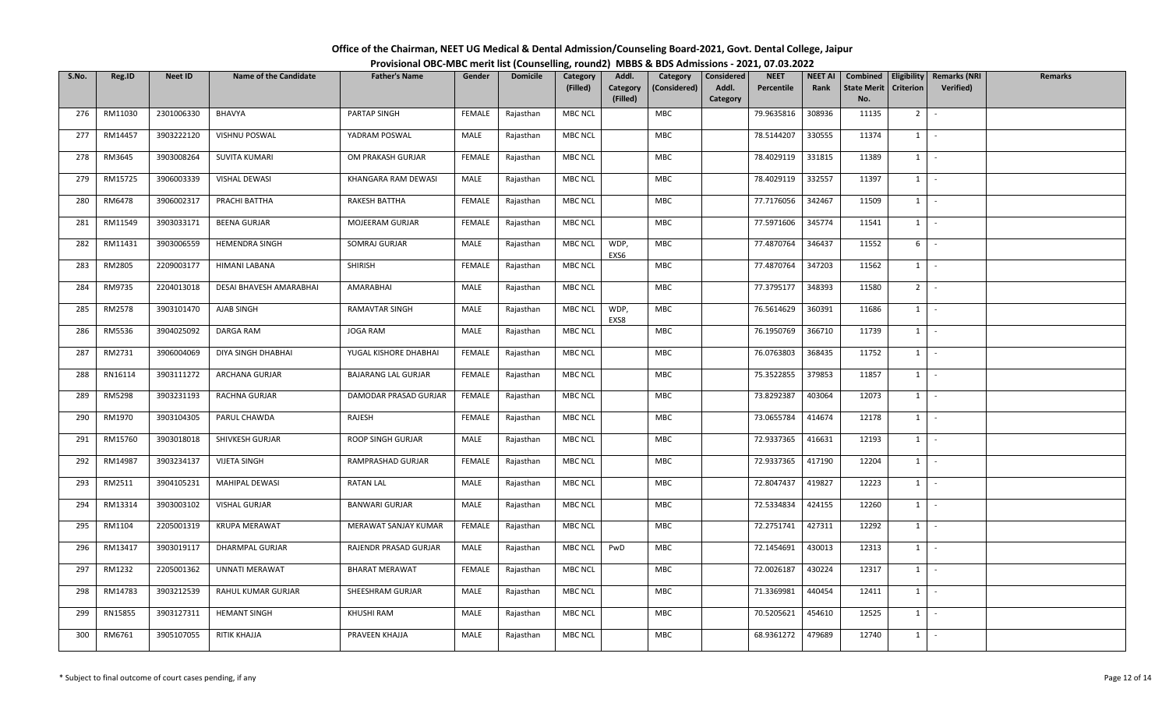| Office of the Chairman, NEET UG Medical & Dental Admission/Counseling Board-2021, Govt. Dental College, Jaipur |  |
|----------------------------------------------------------------------------------------------------------------|--|
| Provisional OBC-MBC merit list (Counselling, round2) MBBS & BDS Admissions - 2021, 07.03.2022                  |  |

| S.No. | Reg.ID        | <b>Neet ID</b> | <b>Name of the Candidate</b> | <b>Father's Name</b>       | Gender        | <b>Domicile</b> | Category<br>(Filled) | Addl.<br>Category<br>(Filled) | Category<br>(Considered) | <b>Considered</b><br>Addl.<br>Category | <b>NEET</b><br>Percentile | <b>NEET AI</b><br>Rank | Combined<br><b>State Merit</b><br>No. | <b>Eligibility</b><br><b>Criterion</b> | <b>Remarks (NRI</b><br>Verified) | <b>Remarks</b> |
|-------|---------------|----------------|------------------------------|----------------------------|---------------|-----------------|----------------------|-------------------------------|--------------------------|----------------------------------------|---------------------------|------------------------|---------------------------------------|----------------------------------------|----------------------------------|----------------|
| 276   | RM11030       | 2301006330     | <b>BHAVYA</b>                | PARTAP SINGH               | FEMALE        | Rajasthan       | <b>MBC NCL</b>       |                               | MBC                      |                                        | 79.9635816                | 308936                 | 11135                                 | $2$ -                                  |                                  |                |
| 277   | RM14457       | 3903222120     | VISHNU POSWAL                | YADRAM POSWAL              | MALE          | Rajasthan       | <b>MBC NCL</b>       |                               | MBC                      |                                        | 78.5144207                | 330555                 | 11374                                 | $1 \vert$                              | $\sim$                           |                |
| 278   | RM3645        | 3903008264     | <b>SUVITA KUMARI</b>         | OM PRAKASH GURJAR          | <b>FEMALE</b> | Rajasthan       | <b>MBC NCL</b>       |                               | <b>MBC</b>               |                                        | 78.4029119                | 331815                 | 11389                                 | $1 \mid$                               | $\sim$                           |                |
| 279   | RM15725       | 3906003339     | <b>VISHAL DEWASI</b>         | KHANGARA RAM DEWASI        | MALE          | Rajasthan       | <b>MBC NCL</b>       |                               | MBC                      |                                        | 78.4029119                | 332557                 | 11397                                 | $1$ $-$                                |                                  |                |
| 280   | RM6478        | 3906002317     | PRACHI BATTHA                | RAKESH BATTHA              | FEMALE        | Rajasthan       | <b>MBC NCL</b>       |                               | MBC                      |                                        | 77.7176056                | 342467                 | 11509                                 | $1$ $\vert$                            |                                  |                |
| 281   | RM11549       | 3903033171     | <b>BEENA GURJAR</b>          | MOJEERAM GURJAR            | FEMALE        | Rajasthan       | <b>MBC NCL</b>       |                               | MBC                      |                                        | 77.5971606                | 345774                 | 11541                                 | $1$ $-$                                |                                  |                |
| 282   | RM11431       | 3903006559     | <b>HEMENDRA SINGH</b>        | SOMRAJ GURJAR              | MALE          | Rajasthan       | <b>MBC NCL</b>       | WDP,<br>EXS6                  | MBC                      |                                        | 77.4870764                | 346437                 | 11552                                 | 6 <sup>1</sup>                         | $\sim$                           |                |
| 283   | RM2805        | 2209003177     | HIMANI LABANA                | SHIRISH                    | FEMALE        | Rajasthan       | <b>MBC NCL</b>       |                               | MBC                      |                                        | 77.4870764                | 347203                 | 11562                                 | $1$ $\vert$ $\vert$                    |                                  |                |
| 284   | RM9735        | 2204013018     | DESAI BHAVESH AMARABHAI      | AMARABHAI                  | MALE          | Rajasthan       | <b>MBC NCL</b>       |                               | MBC                      |                                        | 77.3795177                | 348393                 | 11580                                 | 2 <sup>1</sup>                         |                                  |                |
| 285   | RM2578        | 3903101470     | AJAB SINGH                   | RAMAVTAR SINGH             | MALE          | Rajasthan       | <b>MBC NCL</b>       | WDP,<br>EXS8                  | <b>MBC</b>               |                                        | 76.5614629                | 360391                 | 11686                                 | $1 \quad$                              | $\sim$                           |                |
| 286   | RM5536        | 3904025092     | DARGA RAM                    | <b>JOGA RAM</b>            | MALE          | Rajasthan       | <b>MBC NCL</b>       |                               | MBC                      |                                        | 76.1950769                | 366710                 | 11739                                 | $1$ $-$                                |                                  |                |
| 287   | RM2731        | 3906004069     | DIYA SINGH DHABHAI           | YUGAL KISHORE DHABHAI      | <b>FEMALE</b> | Rajasthan       | <b>MBC NCL</b>       |                               | MBC                      |                                        | 76.0763803                | 368435                 | 11752                                 | 1                                      | $\sim$                           |                |
| 288   | RN16114       | 3903111272     | ARCHANA GURJAR               | <b>BAJARANG LAL GURJAR</b> | <b>FEMALE</b> | Rajasthan       | <b>MBC NCL</b>       |                               | MBC                      |                                        | 75.3522855                | 379853                 | 11857                                 | $1$ $\vert$                            |                                  |                |
| 289   | <b>RM5298</b> | 3903231193     | RACHNA GURJAR                | DAMODAR PRASAD GURJAR      | FEMALE        | Rajasthan       | <b>MBC NCL</b>       |                               | <b>MBC</b>               |                                        | 73.8292387                | 403064                 | 12073                                 | $1$ $\vert$                            |                                  |                |
| 290   | RM1970        | 3903104305     | PARUL CHAWDA                 | RAJESH                     | FEMALE        | Rajasthan       | <b>MBC NCL</b>       |                               | MBC                      |                                        | 73.0655784                | 414674                 | 12178                                 | $1 \vert$                              | $\sim$                           |                |
| 291   | RM15760       | 3903018018     | SHIVKESH GURJAR              | ROOP SINGH GURJAR          | MALE          | Rajasthan       | <b>MBC NCL</b>       |                               | MBC                      |                                        | 72.9337365                | 416631                 | 12193                                 | $1$ $-$                                |                                  |                |
| 292   | RM14987       | 3903234137     | <b>VIJETA SINGH</b>          | RAMPRASHAD GURJAR          | <b>FEMALE</b> | Rajasthan       | <b>MBC NCL</b>       |                               | MBC                      |                                        | 72.9337365                | 417190                 | 12204                                 | 1                                      | $\sim$                           |                |
| 293   | RM2511        | 3904105231     | MAHIPAL DEWASI               | RATAN LAL                  | MALE          | Rajasthan       | <b>MBC NCL</b>       |                               | MBC                      |                                        | 72.8047437                | 419827                 | 12223                                 | $1 \mid$                               | $\sim$                           |                |
| 294   | RM13314       | 3903003102     | VISHAL GURJAR                | <b>BANWARI GURJAR</b>      | MALE          | Rajasthan       | <b>MBC NCL</b>       |                               | MBC                      |                                        | 72.5334834                | 424155                 | 12260                                 | $1$ $-$                                |                                  |                |
| 295   | RM1104        | 2205001319     | <b>KRUPA MERAWAT</b>         | MERAWAT SANJAY KUMAR       | <b>FEMALE</b> | Rajasthan       | <b>MBC NCL</b>       |                               | <b>MBC</b>               |                                        | 72.2751741                | 427311                 | 12292                                 | $1 \mid$                               | $\sim$                           |                |
| 296   | RM13417       | 3903019117     | DHARMPAL GURJAR              | RAJENDR PRASAD GURJAR      | MALE          | Rajasthan       | <b>MBC NCL</b>       | PwD                           | <b>MBC</b>               |                                        | 72.1454691                | 430013                 | 12313                                 | $1$ $\cdot$                            |                                  |                |
| 297   | RM1232        | 2205001362     | <b>UNNATI MERAWAT</b>        | <b>BHARAT MERAWAT</b>      | <b>FEMALE</b> | Rajasthan       | <b>MBC NCL</b>       |                               | MBC                      |                                        | 72.0026187                | 430224                 | 12317                                 | $1 -$                                  |                                  |                |
| 298   | RM14783       | 3903212539     | RAHUL KUMAR GURJAR           | SHEESHRAM GURJAR           | MALE          | Rajasthan       | <b>MBC NCL</b>       |                               | MBC                      |                                        | 71.3369981                | 440454                 | 12411                                 | $1 \mid$                               | $\sim$                           |                |
| 299   | RN15855       | 3903127311     | <b>HEMANT SINGH</b>          | KHUSHI RAM                 | MALE          | Rajasthan       | <b>MBC NCL</b>       |                               | MBC                      |                                        | 70.5205621                | 454610                 | 12525                                 | $1$ $\cdot$                            |                                  |                |
| 300   | RM6761        | 3905107055     | RITIK KHAJJA                 | PRAVEEN KHAJJA             | MALE          | Rajasthan       | <b>MBC NCL</b>       |                               | MBC                      |                                        | 68.9361272                | 479689                 | 12740                                 | $1 \quad$                              |                                  |                |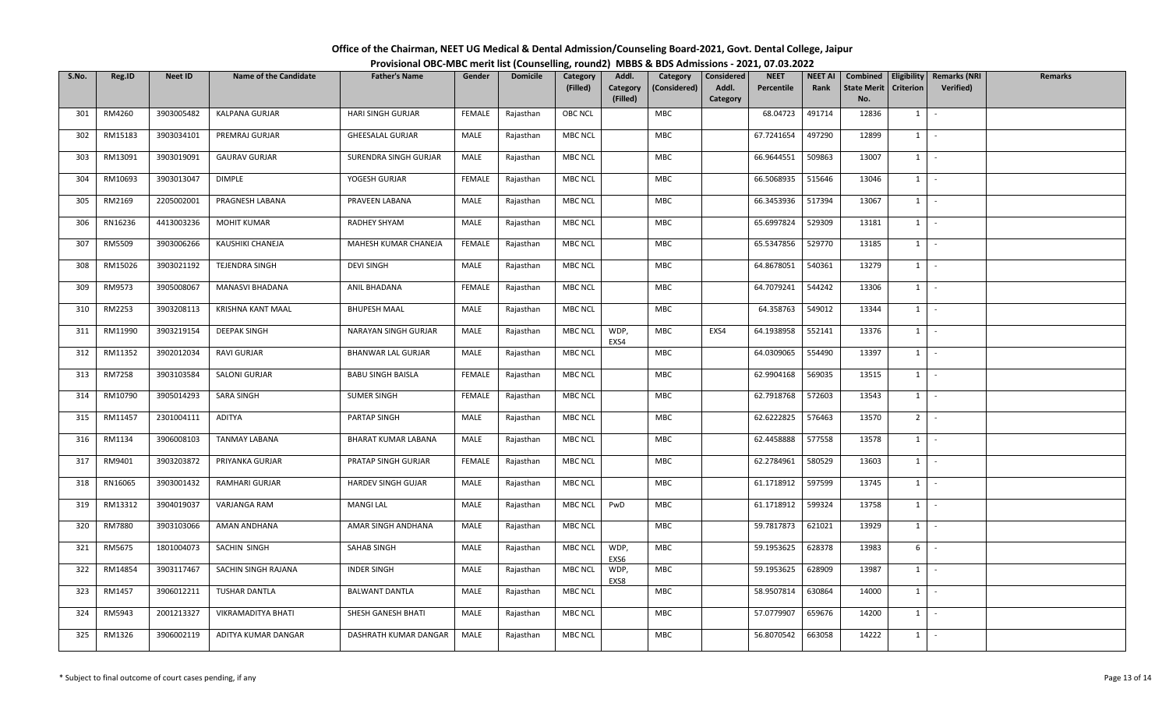| Office of the Chairman, NEET UG Medical & Dental Admission/Counseling Board-2021, Govt. Dental College, Jaipur |  |
|----------------------------------------------------------------------------------------------------------------|--|
| Provisional OBC-MBC merit list (Counselling, round2) MBBS & BDS Admissions - 2021, 07.03.2022                  |  |

| S.No. | Reg.ID        | Neet ID    | <b>Name of the Candidate</b> | <b>Father's Name</b>      | Gender        | <b>Domicile</b> | Category<br>(Filled) | Addl.<br>Category<br>(Filled) | Category<br>(Considered) | <b>Considered</b><br>Addl.<br>Category | <b>NEET</b><br>Percentile | <b>NEET AI</b><br>Rank | Combined<br>State Merit   Criterion  <br>No. |                | Eligibility   Remarks (NRI<br>Verified) | Remarks |
|-------|---------------|------------|------------------------------|---------------------------|---------------|-----------------|----------------------|-------------------------------|--------------------------|----------------------------------------|---------------------------|------------------------|----------------------------------------------|----------------|-----------------------------------------|---------|
| 301   | RM4260        | 3903005482 | KALPANA GURJAR               | HARI SINGH GURJAR         | FEMALE        | Rajasthan       | OBC NCL              |                               | MBC                      |                                        | 68.04723                  | 491714                 | 12836                                        | $1 \mid$       | $\sim$                                  |         |
| 302   | RM15183       | 3903034101 | PREMRAJ GURJAR               | GHEESALAL GURJAR          | MALE          | Rajasthan       | <b>MBC NCL</b>       |                               | MBC                      |                                        | 67.7241654                | 497290                 | 12899                                        | $1 \quad$      | $\sim$                                  |         |
| 303   | RM13091       | 3903019091 | <b>GAURAV GURJAR</b>         | SURENDRA SINGH GURJAR     | MALE          | Rajasthan       | <b>MBC NCL</b>       |                               | MBC                      |                                        | 66.9644551                | 509863                 | 13007                                        |                | $1 \mid -$                              |         |
| 304   | RM10693       | 3903013047 | <b>DIMPLE</b>                | YOGESH GURJAR             | <b>FEMALE</b> | Rajasthan       | MBC NCL              |                               | MBC                      |                                        | 66.5068935                | 515646                 | 13046                                        | 1              | $\sim$                                  |         |
| 305   | RM2169        | 2205002001 | PRAGNESH LABANA              | PRAVEEN LABANA            | MALE          | Rajasthan       | <b>MBC NCL</b>       |                               | MBC                      |                                        | 66.3453936                | 517394                 | 13067                                        | $1 \quad$      | $\sim$                                  |         |
| 306   | RN16236       | 4413003236 | MOHIT KUMAR                  | RADHEY SHYAM              | MALE          | Rajasthan       | <b>MBC NCL</b>       |                               | MBC                      |                                        | 65.6997824                | 529309                 | 13181                                        | $1 \quad$      | $\sim$                                  |         |
| 307   | RM5509        | 3903006266 | KAUSHIKI CHANEJA             | MAHESH KUMAR CHANEJA      | <b>FEMALE</b> | Rajasthan       | <b>MBC NCL</b>       |                               | MBC                      |                                        | 65.5347856                | 529770                 | 13185                                        | 1              | $\sim$                                  |         |
| 308   | RM15026       | 3903021192 | TEJENDRA SINGH               | <b>DEVI SINGH</b>         | MALE          | Rajasthan       | MBC NCL              |                               | MBC                      |                                        | 64.8678051                | 540361                 | 13279                                        | 1              | $\sim$                                  |         |
| 309   | RM9573        | 3905008067 | MANASVI BHADANA              | ANIL BHADANA              | <b>FEMALE</b> | Rajasthan       | <b>MBC NCL</b>       |                               | MBC                      |                                        | 64.7079241                | 544242                 | 13306                                        | $1 \quad$      | $\sim$                                  |         |
| 310   | RM2253        | 3903208113 | KRISHNA KANT MAAL            | <b>BHUPESH MAAL</b>       | MALE          | Rajasthan       | <b>MBC NCL</b>       |                               | MBC                      |                                        | 64.358763                 | 549012                 | 13344                                        | 1              | $\sim$                                  |         |
| 311   | RM11990       | 3903219154 | DEEPAK SINGH                 | NARAYAN SINGH GURJAR      | MALE          | Rajasthan       | <b>MBC NCL</b>       | WDP,<br>EXS4                  | MBC                      | EXS4                                   | 64.1938958                | 552141                 | 13376                                        | $1 \quad$      | $\sim$                                  |         |
| 312   | RM11352       | 3902012034 | RAVI GURJAR                  | <b>BHANWAR LAL GURJAR</b> | MALE          | Rajasthan       | <b>MBC NCL</b>       |                               | MBC                      |                                        | 64.0309065                | 554490                 | 13397                                        | 1              | $\sim$                                  |         |
| 313   | <b>RM7258</b> | 3903103584 | SALONI GURJAR                | <b>BABU SINGH BAISLA</b>  | <b>FEMALE</b> | Rajasthan       | <b>MBC NCL</b>       |                               | MBC                      |                                        | 62.9904168                | 569035                 | 13515                                        | 1              | $\sim$                                  |         |
| 314   | RM10790       | 3905014293 | SARA SINGH                   | <b>SUMER SINGH</b>        | <b>FEMALE</b> | Rajasthan       | <b>MBC NCL</b>       |                               | MBC                      |                                        | 62.7918768                | 572603                 | 13543                                        | $1 \quad$      | $\sim$                                  |         |
| 315   | RM11457       | 2301004111 | ADITYA                       | PARTAP SINGH              | MALE          | Rajasthan       | <b>MBC NCL</b>       |                               | <b>MBC</b>               |                                        | 62.6222825                | 576463                 | 13570                                        | 2 <sup>1</sup> | $\sim$                                  |         |
| 316   | RM1134        | 3906008103 | <b>TANMAY LABANA</b>         | BHARAT KUMAR LABANA       | MALE          | Rajasthan       | <b>MBC NCL</b>       |                               | MBC                      |                                        | 62.4458888                | 577558                 | 13578                                        |                | $1 \mid -$                              |         |
| 317   | RM9401        | 3903203872 | PRIYANKA GURJAR              | PRATAP SINGH GURJAR       | <b>FEMALE</b> | Rajasthan       | <b>MBC NCL</b>       |                               | MBC                      |                                        | 62.2784961                | 580529                 | 13603                                        | $1 \quad$      | $\sim$                                  |         |
| 318   | RN16065       | 3903001432 | RAMHARI GURJAR               | HARDEV SINGH GUJAR        | MALE          | Rajasthan       | <b>MBC NCL</b>       |                               | MBC                      |                                        | 61.1718912                | 597599                 | 13745                                        | $1 \quad$      | $\sim$                                  |         |
| 319   | RM13312       | 3904019037 | VARJANGA RAM                 | <b>MANGI LAL</b>          | MALE          | Rajasthan       | MBC NCL              | PwD                           | MBC                      |                                        | 61.1718912                | 599324                 | 13758                                        |                | $1 \mid -$                              |         |
| 320   | RM7880        | 3903103066 | AMAN ANDHANA                 | AMAR SINGH ANDHANA        | MALE          | Rajasthan       | <b>MBC NCL</b>       |                               | MBC                      |                                        | 59.7817873                | 621021                 | 13929                                        | $1 \quad$      | $\sim$                                  |         |
| 321   | RM5675        | 1801004073 | SACHIN SINGH                 | SAHAB SINGH               | MALE          | Rajasthan       | <b>MBC NCL</b>       | WDP,<br>EXS6                  | MBC                      |                                        | 59.1953625                | 628378                 | 13983                                        | 6              | $\sim$                                  |         |
| 322   | RM14854       | 3903117467 | SACHIN SINGH RAJANA          | <b>INDER SINGH</b>        | MALE          | Rajasthan       | <b>MBC NCL</b>       | WDP,<br>EXS8                  | MBC                      |                                        | 59.1953625                | 628909                 | 13987                                        | $1 \mid$       | $\sim$                                  |         |
| 323   | RM1457        | 3906012211 | TUSHAR DANTLA                | <b>BALWANT DANTLA</b>     | MALE          | Rajasthan       | <b>MBC NCL</b>       |                               | MBC                      |                                        | 58.9507814                | 630864                 | 14000                                        | $1 \quad$      | $\sim$                                  |         |
| 324   | RM5943        | 2001213327 | VIKRAMADITYA BHATI           | SHESH GANESH BHATI        | MALE          | Rajasthan       | <b>MBC NCL</b>       |                               | MBC                      |                                        | 57.0779907                | 659676                 | 14200                                        | $1 \quad$      | $\sim$                                  |         |
| 325   | RM1326        | 3906002119 | ADITYA KUMAR DANGAR          | DASHRATH KUMAR DANGAR     | MALE          | Rajasthan       | <b>MBC NCL</b>       |                               | <b>MBC</b>               |                                        | 56.8070542                | 663058                 | 14222                                        | $1 \quad$      | $\sim$                                  |         |